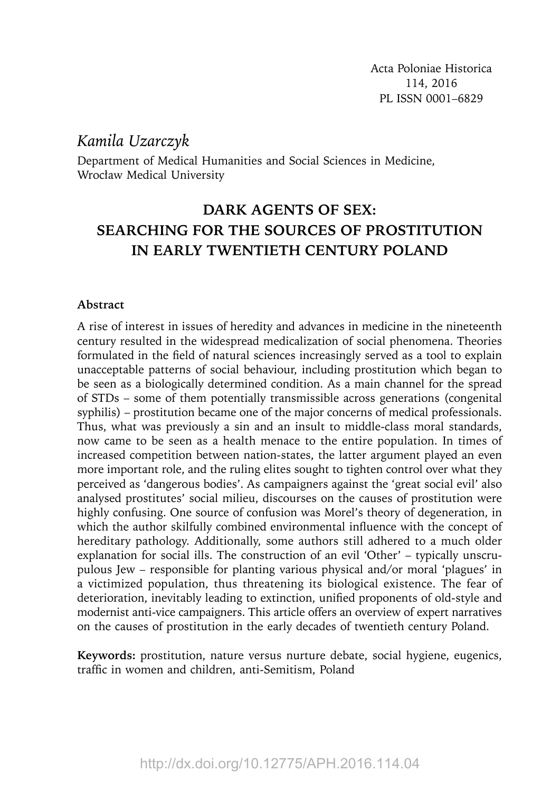# *Kamila Uzarczyk*

Department of Medical Humanities and Social Sciences in Medicine, Wrocław Medical University

# **DARK AGENTS OF SEX: SEARCHING FOR THE SOURCES OF PROSTITUTION IN EARLY TWENTIETH CENTURY POLAND**

#### **Abstract**

A rise of interest in issues of heredity and advances in medicine in the nineteenth century resulted in the widespread medicalization of social phenomena. Theories formulated in the field of natural sciences increasingly served as a tool to explain unacceptable patterns of social behaviour, including prostitution which began to be seen as a biologically determined condition. As a main channel for the spread of STDs – some of them potentially transmissible across generations (congenital syphilis) – prostitution became one of the major concerns of medical professionals. Thus, what was previously a sin and an insult to middle-class moral standards, now came to be seen as a health menace to the entire population. In times of increased competition between nation-states, the latter argument played an even more important role, and the ruling elites sought to tighten control over what they perceived as 'dangerous bodies'. As campaigners against the 'great social evil' also analysed prostitutes' social milieu, discourses on the causes of prostitution were highly confusing. One source of confusion was Morel's theory of degeneration, in which the author skilfully combined environmental influence with the concept of hereditary pathology. Additionally, some authors still adhered to a much older explanation for social ills. The construction of an evil 'Other' – typically unscrupulous Jew – responsible for planting various physical and/or moral 'plagues' in a victimized population, thus threatening its biological existence. The fear of deterioration, inevitably leading to extinction, unified proponents of old-style and modernist anti-vice campaigners. This article offers an overview of expert narratives on the causes of prostitution in the early decades of twentieth century Poland.

**Keywords:** prostitution, nature versus nurture debate, social hygiene, eugenics, traffic in women and children, anti-Semitism, Poland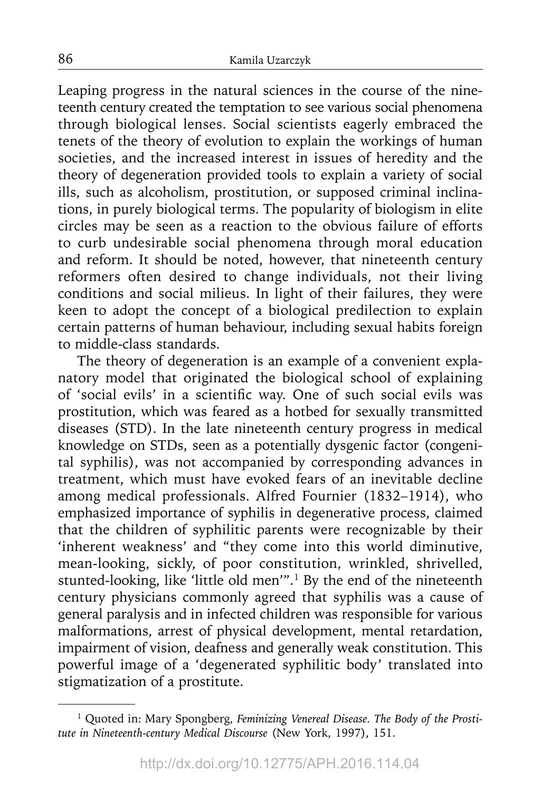Leaping progress in the natural sciences in the course of the nineteenth century created the temptation to see various social phenomena through biological lenses. Social scientists eagerly embraced the tenets of the theory of evolution to explain the workings of human societies, and the increased interest in issues of heredity and the theory of degeneration provided tools to explain a variety of social ills, such as alcoholism, prostitution, or supposed criminal inclinations, in purely biological terms. The popularity of biologism in elite circles may be seen as a reaction to the obvious failure of efforts to curb undesirable social phenomena through moral education and reform. It should be noted, however, that nineteenth century reformers often desired to change individuals, not their living conditions and social milieus. In light of their failures, they were keen to adopt the concept of a biological predilection to explain certain patterns of human behaviour, including sexual habits foreign to middle-class standards.

The theory of degeneration is an example of a convenient explanatory model that originated the biological school of explaining of 'social evils' in a scientific way. One of such social evils was prostitution, which was feared as a hotbed for sexually transmitted diseases (STD). In the late nineteenth century progress in medical knowledge on STDs, seen as a potentially dysgenic factor (congenital syphilis), was not accompanied by corresponding advances in treatment, which must have evoked fears of an inevitable decline among medical professionals. Alfred Fournier (1832–1914), who emphasized importance of syphilis in degenerative process, claimed that the children of syphilitic parents were recognizable by their 'inherent weakness' and "they come into this world diminutive, mean-looking, sickly, of poor constitution, wrinkled, shrivelled, stunted-looking, like 'little old men'".1 By the end of the nineteenth century physicians commonly agreed that syphilis was a cause of general paralysis and in infected children was responsible for various malformations, arrest of physical development, mental retardation, impairment of vision, deafness and generally weak constitution. This powerful image of a 'degenerated syphilitic body' translated into stigmatization of a prostitute.

<sup>&</sup>lt;sup>1</sup> Quoted in: Mary Spongberg, *Feminizing Venereal Disease*. The Body of the Prosti*tute in Nineteenth-century Medical Discourse* (New York, 1997), 151.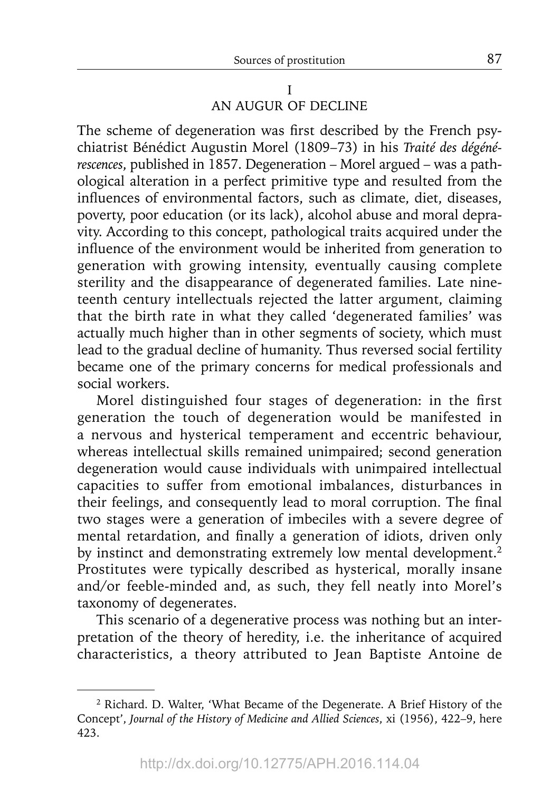I AN AUGUR OF DECLINE

The scheme of degeneration was first described by the French psychiatrist Bénédict Augustin Morel (1809–73) in his *Traité des dégénérescences*, published in 1857. Degeneration – Morel argued – was a pathological alteration in a perfect primitive type and resulted from the influences of environmental factors, such as climate, diet, diseases, poverty, poor education (or its lack), alcohol abuse and moral depravity. According to this concept, pathological traits acquired under the influence of the environment would be inherited from generation to generation with growing intensity, eventually causing complete sterility and the disappearance of degenerated families. Late nineteenth century intellectuals rejected the latter argument, claiming that the birth rate in what they called 'degenerated families' was actually much higher than in other segments of society, which must lead to the gradual decline of humanity. Thus reversed social fertility became one of the primary concerns for medical professionals and social workers.

Morel distinguished four stages of degeneration: in the first generation the touch of degeneration would be manifested in a nervous and hysterical temperament and eccentric behaviour, whereas intellectual skills remained unimpaired; second generation degeneration would cause individuals with unimpaired intellectual capacities to suffer from emotional imbalances, disturbances in their feelings, and consequently lead to moral corruption. The final two stages were a generation of imbeciles with a severe degree of mental retardation, and finally a generation of idiots, driven only by instinct and demonstrating extremely low mental development.<sup>2</sup> Prostitutes were typically described as hysterical, morally insane and/or feeble-minded and, as such, they fell neatly into Morel's taxonomy of degenerates.

This scenario of a degenerative process was nothing but an interpretation of the theory of heredity, i.e. the inheritance of acquired characteristics, a theory attributed to Jean Baptiste Antoine de

<sup>2</sup> Richard. D. Walter, 'What Became of the Degenerate. A Brief History of the Concept', *Journal of the History of Medicine and Allied Sciences*, xi (1956), 422–9, here 423.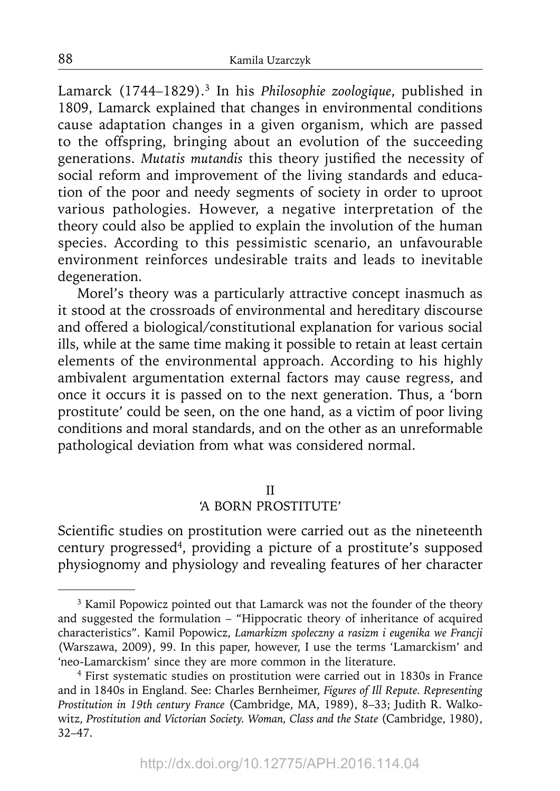Lamarck (1744–1829).<sup>3</sup> In his *Philosophie zoologique*, published in 1809, Lamarck explained that changes in environmental conditions cause adaptation changes in a given organism, which are passed to the offspring, bringing about an evolution of the succeeding generations. Mutatis mutandis this theory justified the necessity of social reform and improvement of the living standards and education of the poor and needy segments of society in order to uproot various pathologies. However, a negative interpretation of the theory could also be applied to explain the involution of the human species. According to this pessimistic scenario, an unfavourable environment reinforces undesirable traits and leads to inevitable degeneration.

Morel's theory was a particularly attractive concept inasmuch as it stood at the crossroads of environmental and hereditary discourse and offered a biological/constitutional explanation for various social ills, while at the same time making it possible to retain at least certain elements of the environmental approach. According to his highly ambivalent argumentation external factors may cause regress, and once it occurs it is passed on to the next generation. Thus, a 'born prostitute' could be seen, on the one hand, as a victim of poor living conditions and moral standards, and on the other as an unreformable pathological deviation from what was considered normal.

#### II

# 'A BORN PROSTITUTE'

Scientific studies on prostitution were carried out as the nineteenth century progressed<sup>4</sup>, providing a picture of a prostitute's supposed physiognomy and physiology and revealing features of her character

<sup>&</sup>lt;sup>3</sup> Kamil Popowicz pointed out that Lamarck was not the founder of the theory and suggested the formulation – "Hippocratic theory of inheritance of acquired characteristics". Kamil Popowicz, *Lamarkizm społeczny a rasizm i eugenika we Francji* (Warszawa, 2009), 99. In this paper, however, I use the terms 'Lamarckism' and 'neo-Lamarckism' since they are more common in the literature.

<sup>&</sup>lt;sup>4</sup> First systematic studies on prostitution were carried out in 1830s in France and in 1840s in England. See: Charles Bernheimer, *Figures of Ill Repute. Representing Prostitution in 19th century France* (Cambridge, MA, 1989), 8–33; Judith R. Walkowitz, *Prostitution and Victorian Society. Woman, Class and the State* (Cambridge, 1980), 32–47.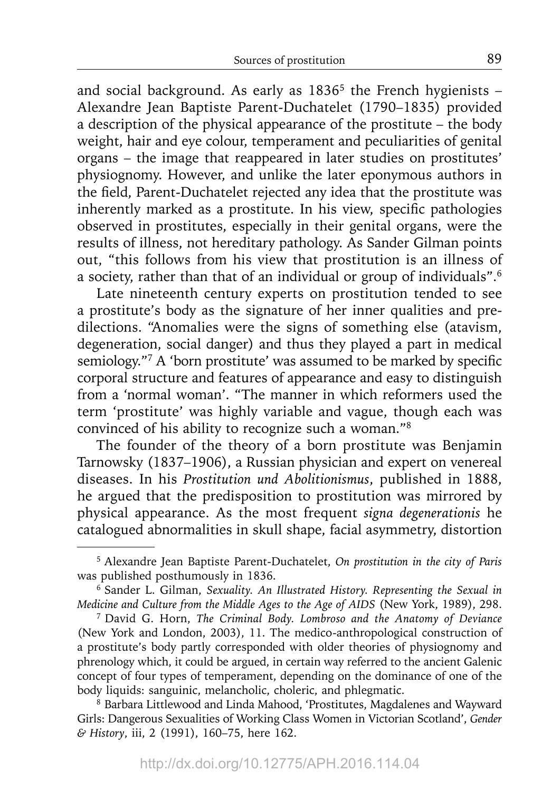and social background. As early as  $1836<sup>5</sup>$  the French hygienists – Alexandre Jean Baptiste Parent-Duchatelet (1790–1835) provided a description of the physical appearance of the prostitute – the body weight, hair and eye colour, temperament and peculiarities of genital organs – the image that reappeared in later studies on prostitutes' physiognomy. However, and unlike the later eponymous authors in the field, Parent-Duchatelet rejected any idea that the prostitute was inherently marked as a prostitute. In his view, specific pathologies observed in prostitutes, especially in their genital organs, were the results of illness, not hereditary pathology. As Sander Gilman points out, "this follows from his view that prostitution is an illness of a society, rather than that of an individual or group of individuals".6

Late nineteenth century experts on prostitution tended to see a prostitute's body as the signature of her inner qualities and predilections. "Anomalies were the signs of something else (atavism, degeneration, social danger) and thus they played a part in medical semiology."7 A 'born prostitute' was assumed to be marked by specific corporal structure and features of appearance and easy to distinguish from a 'normal woman'. "The manner in which reformers used the term 'prostitute' was highly variable and vague, though each was convinced of his ability to recognize such a woman."8

The founder of the theory of a born prostitute was Benjamin Tarnowsky (1837–1906), a Russian physician and expert on venereal diseases. In his *Prostitution und Abolitionismus*, published in 1888, he argued that the predisposition to prostitution was mirrored by physical appearance. As the most frequent *signa degenerationis* he catalogued abnormalities in skull shape, facial asymmetry, distortion

<sup>5</sup> Alexandre Jean Baptiste Parent-Duchatelet, *On prostitution in the city of Paris* was published posthumously in 1836.

<sup>6</sup> Sander L. Gilman, *Sexuality. An Illustrated History. Representing the Sexual in* 

<sup>&</sup>lt;sup>7</sup> David G. Horn, The Criminal Body. Lombroso and the Anatomy of Deviance (New York and London, 2003), 11. The medico-anthropological construction of a prostitute's body partly corresponded with older theories of physiognomy and phrenology which, it could be argued, in certain way referred to the ancient Galenic concept of four types of temperament, depending on the dominance of one of the body liquids: sanguinic, melancholic, choleric, and phlegmatic.

<sup>8</sup> Barbara Littlewood and Linda Mahood, 'Prostitutes, Magdalenes and Wayward Girls: Dangerous Sexualities of Working Class Women in Victorian Scotland', *Gender & History*, iii, 2 (1991), 160–75, here 162.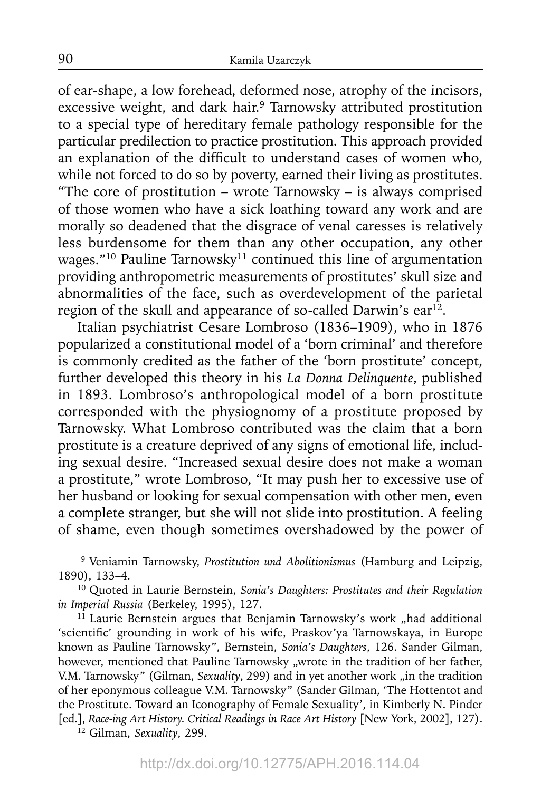of ear-shape, a low forehead, deformed nose, atrophy of the incisors, excessive weight, and dark hair.<sup>9</sup> Tarnowsky attributed prostitution to a special type of hereditary female pathology responsible for the particular predilection to practice prostitution. This approach provided an explanation of the difficult to understand cases of women who, while not forced to do so by poverty, earned their living as prostitutes. "The core of prostitution – wrote Tarnowsky – is always comprised of those women who have a sick loathing toward any work and are morally so deadened that the disgrace of venal caresses is relatively less burdensome for them than any other occupation, any other wages."<sup>10</sup> Pauline Tarnowsky<sup>11</sup> continued this line of argumentation providing anthropometric measurements of prostitutes' skull size and abnormalities of the face, such as overdevelopment of the parietal region of the skull and appearance of so-called Darwin's  $ear^{12}$ .

Italian psychiatrist Cesare Lombroso (1836–1909), who in 1876 popularized a constitutional model of a 'born criminal' and therefore is commonly credited as the father of the 'born prostitute' concept, further developed this theory in his *La Donna Delinquente*, published in 1893. Lombroso's anthropological model of a born prostitute corresponded with the physiognomy of a prostitute proposed by Tarnowsky. What Lombroso contributed was the claim that a born prostitute is a creature deprived of any signs of emotional life, including sexual desire. "Increased sexual desire does not make a woman a prostitute," wrote Lombroso, "It may push her to excessive use of her husband or looking for sexual compensation with other men, even a complete stranger, but she will not slide into prostitution. A feeling of shame, even though sometimes overshadowed by the power of

<sup>9</sup> Veniamin Tarnowsky, *Prostitution und Abolitionismus* (Hamburg and Leipzig, 1890), 133–4.

<sup>10</sup> Quoted in Laurie Bernstein, *Sonia's Daughters: Prostitutes and their Regulation in Imperial Russia* (Berkeley, 1995), 127.<br><sup>11</sup> Laurie Bernstein argues that Benjamin Tarnowsky's work "had additional

<sup>&#</sup>x27;scientific' grounding in work of his wife, Praskov'ya Tarnowskaya, in Europe known as Pauline Tarnowsky", Bernstein, *Sonia's Daughters*, 126. Sander Gilman, however, mentioned that Pauline Tarnowsky "wrote in the tradition of her father, V.M. Tarnowsky" (Gilman, *Sexuality*, 299) and in yet another work "in the tradition of her eponymous colleague V.M. Tarnowsky" (Sander Gilman, 'The Hottentot and the Prostitute. Toward an Iconography of Female Sexuality', in Kimberly N. Pinder [ed.], *Race-ing Art History. Critical Readings in Race Art History* [New York, 2002], 127). 12 Gilman, *Sexuality*, 299.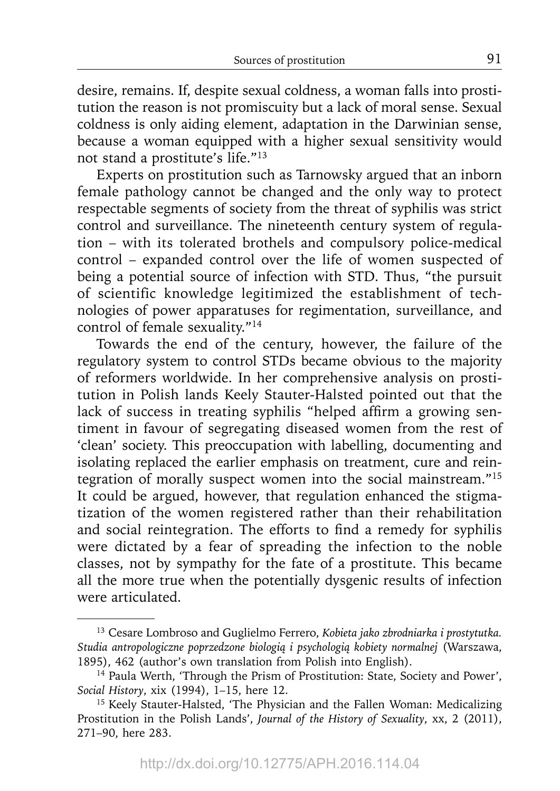desire, remains. If, despite sexual coldness, a woman falls into prostitution the reason is not promiscuity but a lack of moral sense. Sexual coldness is only aiding element, adaptation in the Darwinian sense, because a woman equipped with a higher sexual sensitivity would not stand a prostitute's life."13

Experts on prostitution such as Tarnowsky argued that an inborn female pathology cannot be changed and the only way to protect respectable segments of society from the threat of syphilis was strict control and surveillance. The nineteenth century system of regulation – with its tolerated brothels and compulsory police-medical control – expanded control over the life of women suspected of being a potential source of infection with STD. Thus, "the pursuit of scientific knowledge legitimized the establishment of technologies of power apparatuses for regimentation, surveillance, and control of female sexuality."14

Towards the end of the century, however, the failure of the regulatory system to control STDs became obvious to the majority of reformers worldwide. In her comprehensive analysis on prostitution in Polish lands Keely Stauter-Halsted pointed out that the lack of success in treating syphilis "helped affirm a growing sentiment in favour of segregating diseased women from the rest of 'clean' society. This preoccupation with labelling, documenting and isolating replaced the earlier emphasis on treatment, cure and reintegration of morally suspect women into the social mainstream."15 It could be argued, however, that regulation enhanced the stigmatization of the women registered rather than their rehabilitation and social reintegration. The efforts to find a remedy for syphilis were dictated by a fear of spreading the infection to the noble classes, not by sympathy for the fate of a prostitute. This became all the more true when the potentially dysgenic results of infection were articulated.

<sup>13</sup> Cesare Lombroso and Guglielmo Ferrero, *Kobieta jako zbrodniarka i prostytutka. Studia antropologiczne poprzedzone biologią i psychologią kobiety normalnej* (Warszawa, 1895), 462 (author's own translation from Polish into English).

<sup>14</sup> Paula Werth, 'Through the Prism of Prostitution: State, Society and Power', *Social History*, xix (1994), 1–15, here 12.

<sup>&</sup>lt;sup>15</sup> Keely Stauter-Halsted, 'The Physician and the Fallen Woman: Medicalizing Prostitution in the Polish Lands', *Journal of the History of Sexuality*, xx, 2 (2011), 271–90, here 283.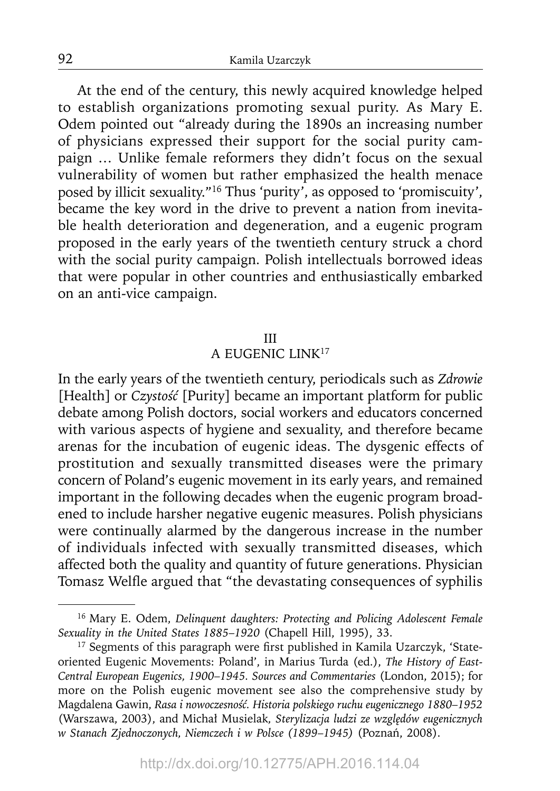At the end of the century, this newly acquired knowledge helped to establish organizations promoting sexual purity. As Mary E. Odem pointed out "already during the 1890s an increasing number of physicians expressed their support for the social purity campaign … Unlike female reformers they didn't focus on the sexual vulnerability of women but rather emphasized the health menace posed by illicit sexuality."16 Thus 'purity', as opposed to 'promiscuity', became the key word in the drive to prevent a nation from inevitable health deterioration and degeneration, and a eugenic program proposed in the early years of the twentieth century struck a chord with the social purity campaign. Polish intellectuals borrowed ideas that were popular in other countries and enthusiastically embarked on an anti-vice campaign.

#### III

#### A EUGENIC LINK17

In the early years of the twentieth century, periodicals such as *Zdrowie* [Health] or *Czystość* [Purity] became an important platform for public debate among Polish doctors, social workers and educators concerned with various aspects of hygiene and sexuality, and therefore became arenas for the incubation of eugenic ideas. The dysgenic effects of prostitution and sexually transmitted diseases were the primary concern of Poland's eugenic movement in its early years, and remained important in the following decades when the eugenic program broadened to include harsher negative eugenic measures. Polish physicians were continually alarmed by the dangerous increase in the number of individuals infected with sexually transmitted diseases, which affected both the quality and quantity of future generations. Physician Tomasz Welfle argued that "the devastating consequences of syphilis

<sup>16</sup> Mary E. Odem, *Delinquent daughters: Protecting and Policing Adolescent Female Sexuality in the United States 1885*–*1920* (Chapell Hill, 1995), 33.

<sup>&</sup>lt;sup>17</sup> Segments of this paragraph were first published in Kamila Uzarczyk, 'Stateoriented Eugenic Movements: Poland', in Marius Turda (ed.), *The History of East-Central European Eugenics, 1900*–*1945. Sources and Commentaries* (London, 2015); for more on the Polish eugenic movement see also the comprehensive study by Magdalena Gawin, *Rasa i nowoczesność. Historia polskiego ruchu eugenicznego 1880*–*1952* (Warszawa, 2003), and Michał Musielak*, Sterylizacja ludzi ze względów eugenicznych w Stanach Zjednoczonych, Niemczech i w Polsce (1899*–*1945)* (Poznań, 2008).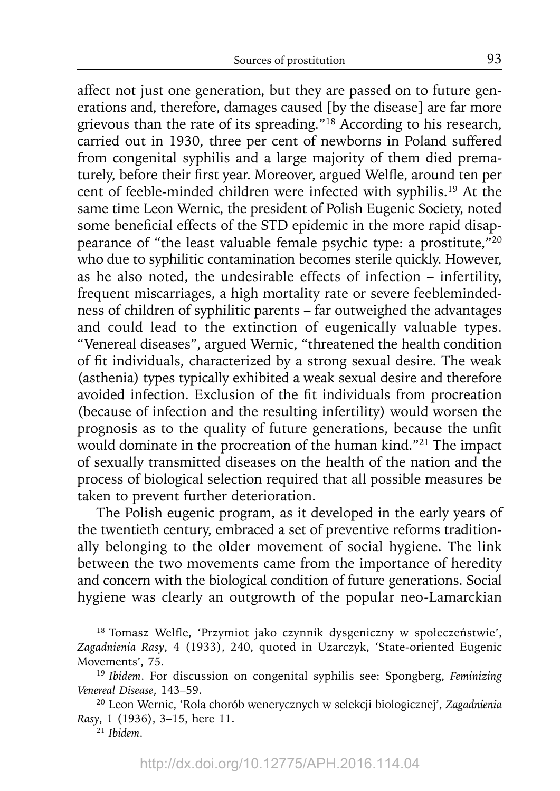affect not just one generation, but they are passed on to future generations and, therefore, damages caused [by the disease] are far more grievous than the rate of its spreading."18 According to his research, carried out in 1930, three per cent of newborns in Poland suffered from congenital syphilis and a large majority of them died prematurely, before their first year. Moreover, argued Welfle, around ten per cent of feeble-minded children were infected with syphilis.19 At the same time Leon Wernic, the president of Polish Eugenic Society, noted some beneficial effects of the STD epidemic in the more rapid disappearance of "the least valuable female psychic type: a prostitute,"20 who due to syphilitic contamination becomes sterile quickly. However, as he also noted, the undesirable effects of infection – infertility, frequent miscarriages, a high mortality rate or severe feeblemindedness of children of syphilitic parents – far outweighed the advantages and could lead to the extinction of eugenically valuable types. "Venereal diseases", argued Wernic, "threatened the health condition of fit individuals, characterized by a strong sexual desire. The weak (asthenia) types typically exhibited a weak sexual desire and therefore avoided infection. Exclusion of the fit individuals from procreation (because of infection and the resulting infertility) would worsen the prognosis as to the quality of future generations, because the unfit would dominate in the procreation of the human kind."21 The impact of sexually transmitted diseases on the health of the nation and the process of biological selection required that all possible measures be taken to prevent further deterioration.

The Polish eugenic program, as it developed in the early years of the twentieth century, embraced a set of preventive reforms traditionally belonging to the older movement of social hygiene. The link between the two movements came from the importance of heredity and concern with the biological condition of future generations. Social hygiene was clearly an outgrowth of the popular neo-Lamarckian

<sup>&</sup>lt;sup>18</sup> Tomasz Welfle, 'Przymiot jako czynnik dysgeniczny w społeczeństwie', *Zagadnienia Rasy*, 4 (1933), 240, quoted in Uzarczyk, 'State-oriented Eugenic Movements', 75. 19 *Ibidem*. For discussion on congenital syphilis see: Spongberg, *Feminizing* 

*Venereal Disease*, 143–59.

<sup>20</sup> Leon Wernic, 'Rola chorób wenerycznych w selekcji biologicznej', *Zagadnienia Rasy*, 1 (1936), 3–15, here 11.

<sup>21</sup>*Ibidem*.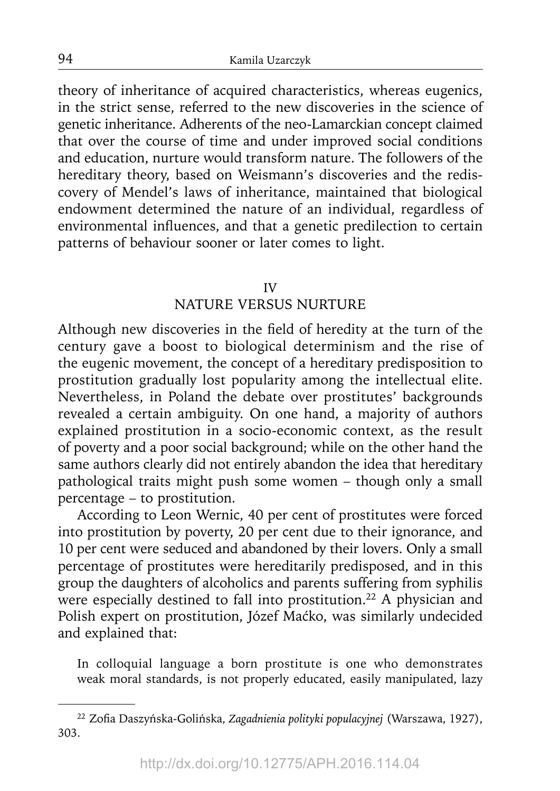theory of inheritance of acquired characteristics, whereas eugenics, in the strict sense, referred to the new discoveries in the science of genetic inheritance. Adherents of the neo-Lamarckian concept claimed that over the course of time and under improved social conditions and education, nurture would transform nature. The followers of the hereditary theory, based on Weismann's discoveries and the rediscovery of Mendel's laws of inheritance, maintained that biological endowment determined the nature of an individual, regardless of environmental influences, and that a genetic predilection to certain patterns of behaviour sooner or later comes to light.

#### IV

# NATURE VERSUS NURTURE

Although new discoveries in the field of heredity at the turn of the century gave a boost to biological determinism and the rise of the eugenic movement, the concept of a hereditary predisposition to prostitution gradually lost popularity among the intellectual elite. Nevertheless, in Poland the debate over prostitutes' backgrounds revealed a certain ambiguity. On one hand, a majority of authors explained prostitution in a socio-economic context, as the result of poverty and a poor social background; while on the other hand the same authors clearly did not entirely abandon the idea that hereditary pathological traits might push some women – though only a small percentage – to prostitution.

According to Leon Wernic, 40 per cent of prostitutes were forced into prostitution by poverty, 20 per cent due to their ignorance, and 10 per cent were seduced and abandoned by their lovers. Only a small percentage of prostitutes were hereditarily predisposed, and in this group the daughters of alcoholics and parents suffering from syphilis were especially destined to fall into prostitution.<sup>22</sup> A physician and Polish expert on prostitution, Józef Maćko, was similarly undecided and explained that:

In colloquial language a born prostitute is one who demonstrates weak moral standards, is not properly educated, easily manipulated, lazy

<sup>&</sup>lt;sup>22</sup> Zofia Daszyńska-Golińska, Zagadnienia polityki populacyjnej (Warszawa, 1927), 303.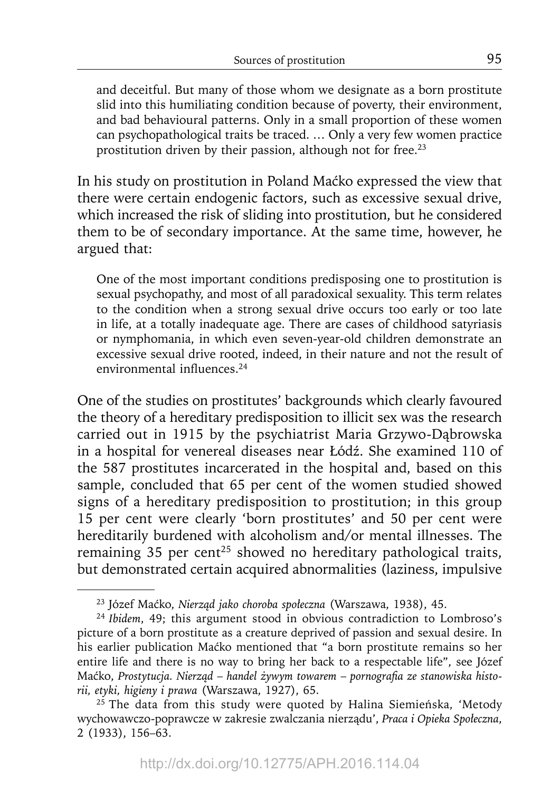and deceitful. But many of those whom we designate as a born prostitute slid into this humiliating condition because of poverty, their environment, and bad behavioural patterns. Only in a small proportion of these women can psychopathological traits be traced. … Only a very few women practice prostitution driven by their passion, although not for free.<sup>23</sup>

In his study on prostitution in Poland Maćko expressed the view that there were certain endogenic factors, such as excessive sexual drive, which increased the risk of sliding into prostitution, but he considered them to be of secondary importance. At the same time, however, he argued that:

One of the most important conditions predisposing one to prostitution is sexual psychopathy, and most of all paradoxical sexuality. This term relates to the condition when a strong sexual drive occurs too early or too late in life, at a totally inadequate age. There are cases of childhood satyriasis or nymphomania, in which even seven-year-old children demonstrate an excessive sexual drive rooted, indeed, in their nature and not the result of environmental influences.<sup>24</sup>

One of the studies on prostitutes' backgrounds which clearly favoured the theory of a hereditary predisposition to illicit sex was the research carried out in 1915 by the psychiatrist Maria Grzywo-Dąbrowska in a hospital for venereal diseases near Łódź. She examined 110 of the 587 prostitutes incarcerated in the hospital and, based on this sample, concluded that 65 per cent of the women studied showed signs of a hereditary predisposition to prostitution; in this group 15 per cent were clearly 'born prostitutes' and 50 per cent were hereditarily burdened with alcoholism and/or mental illnesses. The remaining 35 per cent<sup>25</sup> showed no hereditary pathological traits, but demonstrated certain acquired abnormalities (laziness, impulsive

<sup>23</sup> Józef Maćko, *Nierząd jako choroba społeczna* (Warszawa, 1938), 45.

<sup>24</sup>*Ibidem*, 49; this argument stood in obvious contradiction to Lombroso's picture of a born prostitute as a creature deprived of passion and sexual desire. In his earlier publication Maćko mentioned that "a born prostitute remains so her entire life and there is no way to bring her back to a respectable life", see Józef Maćko, *Prostytucja. Nierząd* – *handel żywym towarem* – *pornografi a ze stanowiska historii, etyki, higieny i prawa* (Warszawa, 1927), 65.

 $25$  The data from this study were quoted by Halina Siemieńska, 'Metody wychowawczo-poprawcze w zakresie zwalczania nierządu', *Praca i Opieka Społeczna*, 2 (1933), 156–63.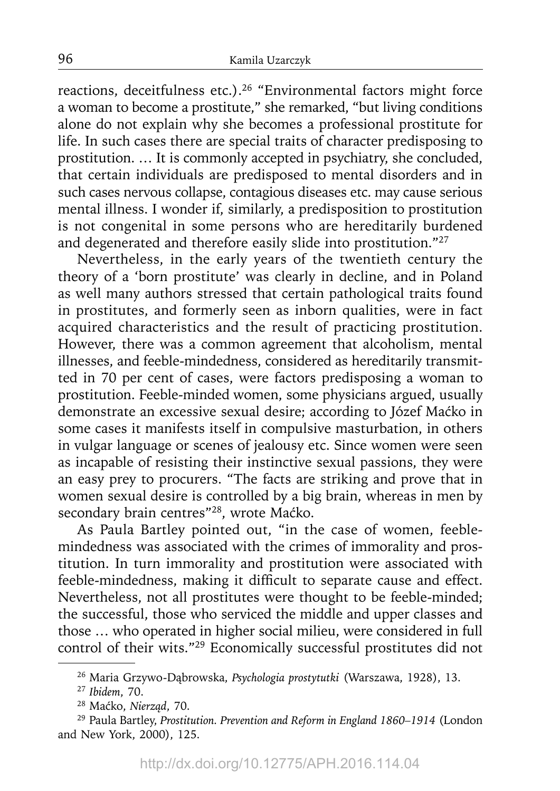reactions, deceitfulness etc.).<sup>26</sup> "Environmental factors might force a woman to become a prostitute," she remarked, "but living conditions alone do not explain why she becomes a professional prostitute for life. In such cases there are special traits of character predisposing to prostitution. … It is commonly accepted in psychiatry, she concluded, that certain individuals are predisposed to mental disorders and in such cases nervous collapse, contagious diseases etc. may cause serious mental illness. I wonder if, similarly, a predisposition to prostitution is not congenital in some persons who are hereditarily burdened and degenerated and therefore easily slide into prostitution."<sup>27</sup>

Nevertheless, in the early years of the twentieth century the theory of a 'born prostitute' was clearly in decline, and in Poland as well many authors stressed that certain pathological traits found in prostitutes, and formerly seen as inborn qualities, were in fact acquired characteristics and the result of practicing prostitution. However, there was a common agreement that alcoholism, mental illnesses, and feeble-mindedness, considered as hereditarily transmitted in 70 per cent of cases, were factors predisposing a woman to prostitution. Feeble-minded women, some physicians argued, usually demonstrate an excessive sexual desire; according to Józef Maćko in some cases it manifests itself in compulsive masturbation, in others in vulgar language or scenes of jealousy etc. Since women were seen as incapable of resisting their instinctive sexual passions, they were an easy prey to procurers. "The facts are striking and prove that in women sexual desire is controlled by a big brain, whereas in men by secondary brain centres"<sup>28</sup>, wrote Maćko.

As Paula Bartley pointed out, "in the case of women, feeblemindedness was associated with the crimes of immorality and prostitution. In turn immorality and prostitution were associated with feeble-mindedness, making it difficult to separate cause and effect. Nevertheless, not all prostitutes were thought to be feeble-minded; the successful, those who serviced the middle and upper classes and those … who operated in higher social milieu, were considered in full control of their wits."29 Economically successful prostitutes did not

<sup>26</sup> Maria Grzywo-Dąbrowska, *Psychologia prostytutki* (Warszawa, 1928), 13.

<sup>27</sup>*Ibidem*, 70.

<sup>28</sup> Maćko, *Nierząd*, 70.

<sup>29</sup> Paula Bartley, *Prostitution. Prevention and Reform in England 1860–1914* (London and New York, 2000), 125.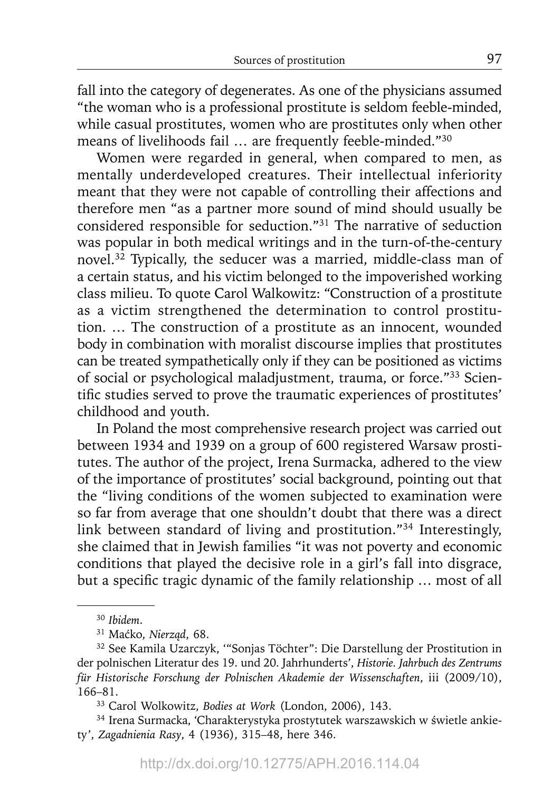fall into the category of degenerates. As one of the physicians assumed "the woman who is a professional prostitute is seldom feeble-minded, while casual prostitutes, women who are prostitutes only when other means of livelihoods fail … are frequently feeble-minded."30

Women were regarded in general, when compared to men, as mentally underdeveloped creatures. Their intellectual inferiority meant that they were not capable of controlling their affections and therefore men "as a partner more sound of mind should usually be considered responsible for seduction."31 The narrative of seduction was popular in both medical writings and in the turn-of-the-century novel.32 Typically, the seducer was a married, middle-class man of a certain status, and his victim belonged to the impoverished working class milieu. To quote Carol Walkowitz: "Construction of a prostitute as a victim strengthened the determination to control prostitution. … The construction of a prostitute as an innocent, wounded body in combination with moralist discourse implies that prostitutes can be treated sympathetically only if they can be positioned as victims of social or psychological maladjustment, trauma, or force."33 Scientific studies served to prove the traumatic experiences of prostitutes' childhood and youth.

In Poland the most comprehensive research project was carried out between 1934 and 1939 on a group of 600 registered Warsaw prostitutes. The author of the project, Irena Surmacka, adhered to the view of the importance of prostitutes' social background, pointing out that the "living conditions of the women subjected to examination were so far from average that one shouldn't doubt that there was a direct link between standard of living and prostitution."34 Interestingly, she claimed that in Jewish families "it was not poverty and economic conditions that played the decisive role in a girl's fall into disgrace, but a specific tragic dynamic of the family relationship ... most of all

<sup>30</sup>*Ibidem*.

<sup>31</sup> Maćko, *Nierząd*, 68.

<sup>32</sup> See Kamila Uzarczyk, '"Sonjas Töchter": Die Darstellung der Prostitution in der polnischen Literatur des 19. und 20. Jahrhunderts', *Historie. Jahrbuch des Zentrums für Historische Forschung der Polnischen Akademie der Wissenschaften*, iii (2009/10), 166–81.

<sup>33</sup> Carol Wolkowitz, *Bodies at Work* (London, 2006), 143.

<sup>34</sup> Irena Surmacka, 'Charakterystyka prostytutek warszawskich w świetle ankiety', *Zagadnienia Rasy*, 4 (1936), 315–48, here 346.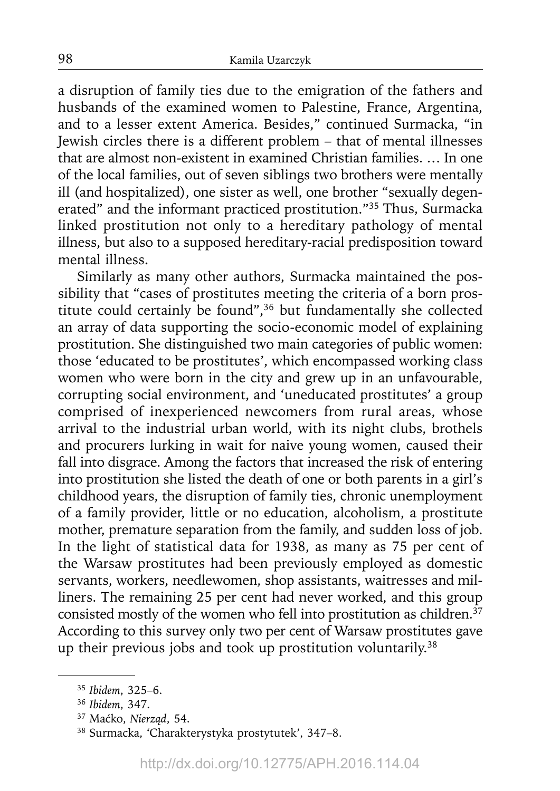a disruption of family ties due to the emigration of the fathers and husbands of the examined women to Palestine, France, Argentina, and to a lesser extent America. Besides," continued Surmacka, "in Jewish circles there is a different problem – that of mental illnesses that are almost non-existent in examined Christian families. … In one of the local families, out of seven siblings two brothers were mentally ill (and hospitalized), one sister as well, one brother "sexually degenerated" and the informant practiced prostitution."35 Thus, Surmacka linked prostitution not only to a hereditary pathology of mental illness, but also to a supposed hereditary-racial predisposition toward mental illness.

Similarly as many other authors, Surmacka maintained the possibility that "cases of prostitutes meeting the criteria of a born prostitute could certainly be found",36 but fundamentally she collected an array of data supporting the socio-economic model of explaining prostitution. She distinguished two main categories of public women: those 'educated to be prostitutes', which encompassed working class women who were born in the city and grew up in an unfavourable, corrupting social environment, and 'uneducated prostitutes' a group comprised of inexperienced newcomers from rural areas, whose arrival to the industrial urban world, with its night clubs, brothels and procurers lurking in wait for naive young women, caused their fall into disgrace. Among the factors that increased the risk of entering into prostitution she listed the death of one or both parents in a girl's childhood years, the disruption of family ties, chronic unemployment of a family provider, little or no education, alcoholism, a prostitute mother, premature separation from the family, and sudden loss of job. In the light of statistical data for 1938, as many as 75 per cent of the Warsaw prostitutes had been previously employed as domestic servants, workers, needlewomen, shop assistants, waitresses and milliners. The remaining 25 per cent had never worked, and this group consisted mostly of the women who fell into prostitution as children.<sup>37</sup> According to this survey only two per cent of Warsaw prostitutes gave up their previous jobs and took up prostitution voluntarily.<sup>38</sup>

<sup>35</sup>*Ibidem*, 325–6.

<sup>36</sup>*Ibidem*, 347.

<sup>37</sup> Maćko, *Nierząd*, 54.

<sup>38</sup> Surmacka, 'Charakterystyka prostytutek', 347–8.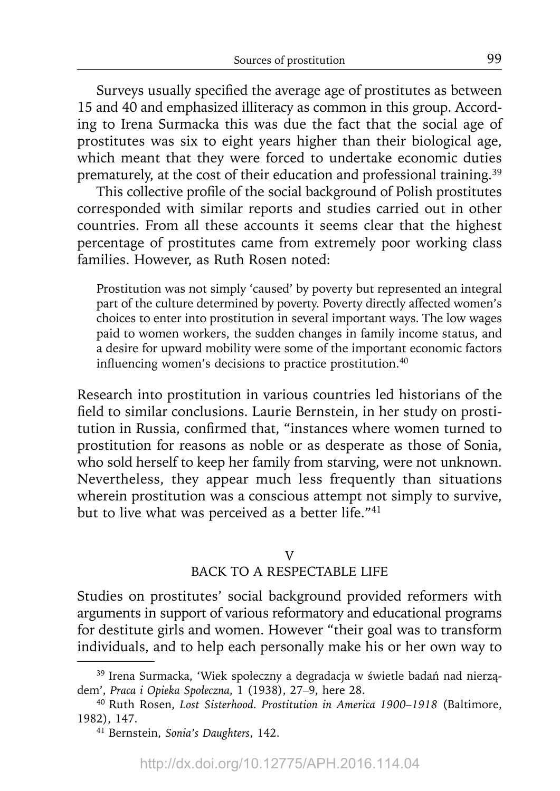Surveys usually specified the average age of prostitutes as between 15 and 40 and emphasized illiteracy as common in this group. According to Irena Surmacka this was due the fact that the social age of prostitutes was six to eight years higher than their biological age, which meant that they were forced to undertake economic duties prematurely, at the cost of their education and professional training.<sup>39</sup>

This collective profile of the social background of Polish prostitutes corresponded with similar reports and studies carried out in other countries. From all these accounts it seems clear that the highest percentage of prostitutes came from extremely poor working class families. However, as Ruth Rosen noted:

Prostitution was not simply 'caused' by poverty but represented an integral part of the culture determined by poverty. Poverty directly affected women's choices to enter into prostitution in several important ways. The low wages paid to women workers, the sudden changes in family income status, and a desire for upward mobility were some of the important economic factors influencing women's decisions to practice prostitution.<sup>40</sup>

Research into prostitution in various countries led historians of the field to similar conclusions. Laurie Bernstein, in her study on prostitution in Russia, confirmed that, "instances where women turned to prostitution for reasons as noble or as desperate as those of Sonia, who sold herself to keep her family from starving, were not unknown. Nevertheless, they appear much less frequently than situations wherein prostitution was a conscious attempt not simply to survive, but to live what was perceived as a better life."<sup>41</sup>

# V

# BACK TO A RESPECTABLE LIFE

Studies on prostitutes' social background provided reformers with arguments in support of various reformatory and educational programs for destitute girls and women. However "their goal was to transform individuals, and to help each personally make his or her own way to

<sup>39</sup> Irena Surmacka, 'Wiek społeczny a degradacja w świetle badań nad nierządem', *Praca i Opieka Społeczna*, 1 (1938), 27–9, here 28.

<sup>40</sup> Ruth Rosen, *Lost Sisterhood. Prostitution in America 1900–1918* (Baltimore, 1982), 147.

<sup>41</sup> Bernstein, *Sonia's Daughters*, 142.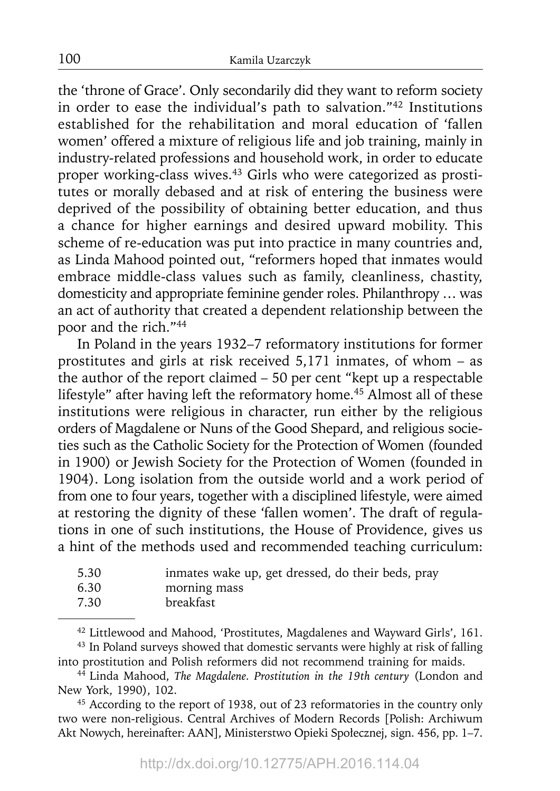the 'throne of Grace'. Only secondarily did they want to reform society in order to ease the individual's path to salvation."42 Institutions established for the rehabilitation and moral education of 'fallen women' offered a mixture of religious life and job training, mainly in industry-related professions and household work, in order to educate proper working-class wives.43 Girls who were categorized as prostitutes or morally debased and at risk of entering the business were deprived of the possibility of obtaining better education, and thus a chance for higher earnings and desired upward mobility. This scheme of re-education was put into practice in many countries and, as Linda Mahood pointed out, "reformers hoped that inmates would embrace middle-class values such as family, cleanliness, chastity, domesticity and appropriate feminine gender roles. Philanthropy ... was an act of authority that created a dependent relationship between the poor and the rich."44

In Poland in the years 1932–7 reformatory institutions for former prostitutes and girls at risk received 5,171 inmates, of whom – as the author of the report claimed – 50 per cent "kept up a respectable lifestyle" after having left the reformatory home.<sup>45</sup> Almost all of these institutions were religious in character, run either by the religious orders of Magdalene or Nuns of the Good Shepard, and religious societies such as the Catholic Society for the Protection of Women (founded in 1900) or Jewish Society for the Protection of Women (founded in 1904). Long isolation from the outside world and a work period of from one to four years, together with a disciplined lifestyle, were aimed at restoring the dignity of these 'fallen women'. The draft of regulations in one of such institutions, the House of Providence, gives us a hint of the methods used and recommended teaching curriculum:

| 5.30 | inmates wake up, get dressed, do their beds, pray |
|------|---------------------------------------------------|
| 6.30 | morning mass                                      |
| 7.30 | breakfast                                         |

42 Littlewood and Mahood, 'Prostitutes, Magdalenes and Wayward Girls', 161.

<sup>43</sup> In Poland surveys showed that domestic servants were highly at risk of falling into prostitution and Polish reformers did not recommend training for maids.

44 Linda Mahood, *The Magdalene. Prostitution in the 19th century* (London and New York, 1990), 102.<br><sup>45</sup> According to the report of 1938, out of 23 reformatories in the country only

two were non-religious. Central Archives of Modern Records [Polish: Archiwum Akt Nowych, hereinafter: AAN], Ministerstwo Opieki Społecznej, sign. 456, pp. 1–7.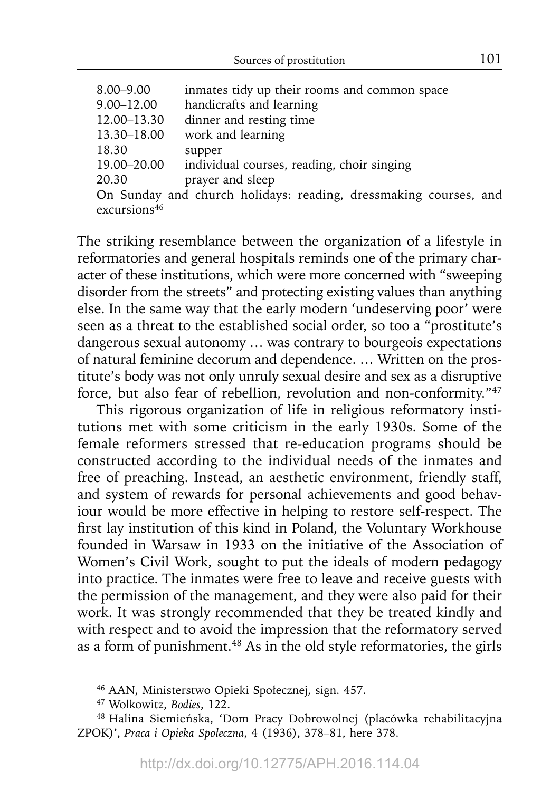| $8.00 - 9.00$                                                    | inmates tidy up their rooms and common space |
|------------------------------------------------------------------|----------------------------------------------|
| $9.00 - 12.00$                                                   | handicrafts and learning                     |
| 12.00–13.30                                                      | dinner and resting time                      |
| 13.30-18.00                                                      | work and learning                            |
| 18.30                                                            | supper                                       |
| 19.00–20.00                                                      | individual courses, reading, choir singing   |
| 20.30                                                            | prayer and sleep                             |
| On Sunday and church holidays: reading, dressmaking courses, and |                                              |
| excursions <sup>46</sup>                                         |                                              |

The striking resemblance between the organization of a lifestyle in reformatories and general hospitals reminds one of the primary character of these institutions, which were more concerned with "sweeping disorder from the streets" and protecting existing values than anything else. In the same way that the early modern 'undeserving poor' were seen as a threat to the established social order, so too a "prostitute's dangerous sexual autonomy … was contrary to bourgeois expectations of natural feminine decorum and dependence. … Written on the prostitute's body was not only unruly sexual desire and sex as a disruptive force, but also fear of rebellion, revolution and non-conformity."47

This rigorous organization of life in religious reformatory institutions met with some criticism in the early 1930s. Some of the female reformers stressed that re-education programs should be constructed according to the individual needs of the inmates and free of preaching. Instead, an aesthetic environment, friendly staff, and system of rewards for personal achievements and good behaviour would be more effective in helping to restore self-respect. The first lay institution of this kind in Poland, the Voluntary Workhouse founded in Warsaw in 1933 on the initiative of the Association of Women's Civil Work, sought to put the ideals of modern pedagogy into practice. The inmates were free to leave and receive guests with the permission of the management, and they were also paid for their work. It was strongly recommended that they be treated kindly and with respect and to avoid the impression that the reformatory served as a form of punishment.<sup>48</sup> As in the old style reformatories, the girls

<sup>46</sup> AAN, Ministerstwo Opieki Społecznej, sign. 457.

<sup>47</sup> Wolkowitz, *Bodies*, 122.

<sup>48</sup> Halina Siemieńska, 'Dom Pracy Dobrowolnej (placówka rehabilitacyjna ZPOK)', *Praca i Opieka Społeczna*, 4 (1936), 378–81, here 378.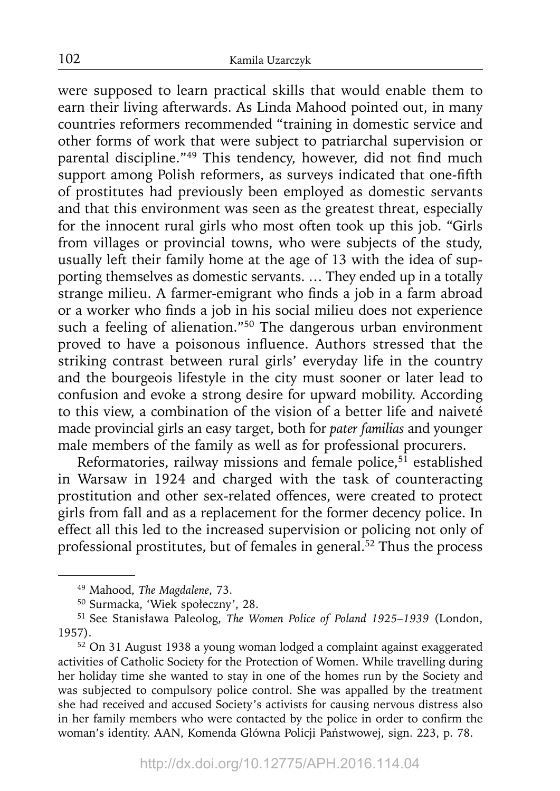were supposed to learn practical skills that would enable them to earn their living afterwards. As Linda Mahood pointed out, in many countries reformers recommended "training in domestic service and other forms of work that were subject to patriarchal supervision or parental discipline."<sup>49</sup> This tendency, however, did not find much support among Polish reformers, as surveys indicated that one-fifth of prostitutes had previously been employed as domestic servants and that this environment was seen as the greatest threat, especially for the innocent rural girls who most often took up this job. "Girls from villages or provincial towns, who were subjects of the study, usually left their family home at the age of 13 with the idea of supporting themselves as domestic servants. … They ended up in a totally strange milieu. A farmer-emigrant who finds a job in a farm abroad or a worker who finds a job in his social milieu does not experience such a feeling of alienation."<sup>50</sup> The dangerous urban environment proved to have a poisonous influence. Authors stressed that the striking contrast between rural girls' everyday life in the country and the bourgeois lifestyle in the city must sooner or later lead to confusion and evoke a strong desire for upward mobility. According to this view, a combination of the vision of a better life and naiveté made provincial girls an easy target, both for *pater familias* and younger male members of the family as well as for professional procurers.

Reformatories, railway missions and female police, $5\overline{1}$  established in Warsaw in 1924 and charged with the task of counteracting prostitution and other sex-related offences, were created to protect girls from fall and as a replacement for the former decency police. In effect all this led to the increased supervision or policing not only of professional prostitutes, but of females in general.52 Thus the process

<sup>49</sup> Mahood, *The Magdalene*, 73.

<sup>50</sup> Surmacka, 'Wiek społeczny', 28.

<sup>51</sup> See Stanisława Paleolog, *The Women Police of Poland 1925–1939* (London, 1957).

<sup>52</sup> On 31 August 1938 a young woman lodged a complaint against exaggerated activities of Catholic Society for the Protection of Women. While travelling during her holiday time she wanted to stay in one of the homes run by the Society and was subjected to compulsory police control. She was appalled by the treatment she had received and accused Society's activists for causing nervous distress also in her family members who were contacted by the police in order to confirm the woman's identity. AAN, Komenda Główna Policji Państwowej, sign. 223, p. 78.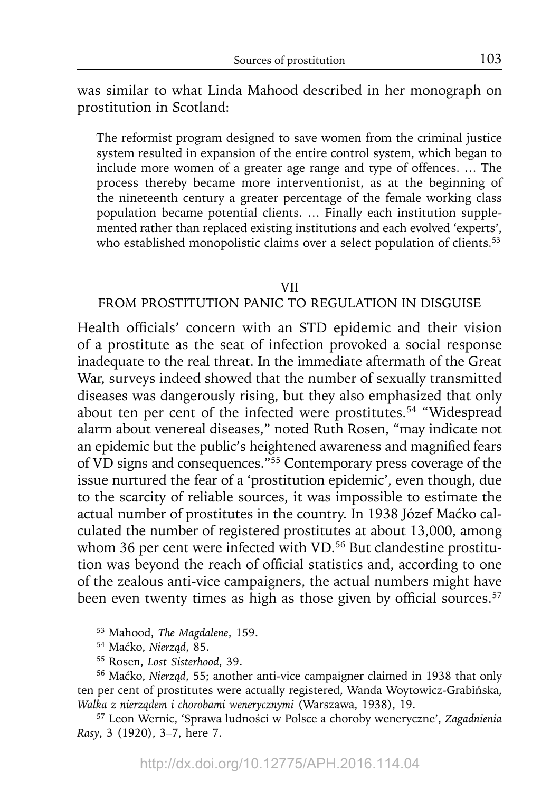was similar to what Linda Mahood described in her monograph on prostitution in Scotland:

The reformist program designed to save women from the criminal justice system resulted in expansion of the entire control system, which began to include more women of a greater age range and type of offences. … The process thereby became more interventionist, as at the beginning of the nineteenth century a greater percentage of the female working class population became potential clients. … Finally each institution supplemented rather than replaced existing institutions and each evolved 'experts', who established monopolistic claims over a select population of clients.<sup>53</sup>

#### VII

# FROM PROSTITUTION PANIC TO REGULATION IN DISGUISE

Health officials' concern with an STD epidemic and their vision of a prostitute as the seat of infection provoked a social response in adequate to the real threat. In the immediate aftermath of the Great War, surveys indeed showed that the number of sexually transmitted diseases was dangerously rising, but they also emphasized that only about ten per cent of the infected were prostitutes.<sup>54</sup> "Widespread alarm about venereal diseases," noted Ruth Rosen, "may indicate not an epidemic but the public's heightened awareness and magnified fears of VD signs and consequences."55 Contemporary press coverage of the issue nurtured the fear of a 'prostitution epidemic', even though, due to the scarcity of reliable sources, it was impossible to estimate the actual number of prostitutes in the country. In 1938 Józef Maćko calculated the number of registered prostitutes at about 13,000, among whom 36 per cent were infected with VD.<sup>56</sup> But clandestine prostitution was beyond the reach of official statistics and, according to one of the zealous anti-vice campaigners, the actual numbers might have been even twenty times as high as those given by official sources.<sup>57</sup>

<sup>53</sup> Mahood, *The Magdalene*, 159.

<sup>54</sup> Maćko, *Nierząd*, 85. 55 Rosen, *Lost Sisterhood*, 39.

<sup>56</sup> Maćko, *Nierząd*, 55; another anti-vice campaigner claimed in 1938 that only ten per cent of prostitutes were actually registered, Wanda Woytowicz-Grabińska, *Walka z nierządem i chorobami wenerycznymi* (Warszawa, 1938), 19. 57 Leon Wernic, 'Sprawa ludności w Polsce a choroby weneryczne', *Zagadnienia* 

*Rasy*, 3 (1920), 3–7, here 7.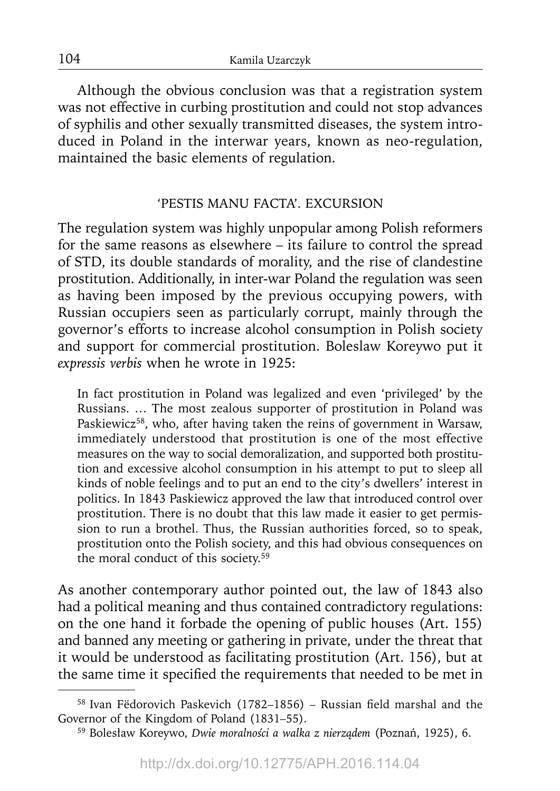Although the obvious conclusion was that a registration system was not effective in curbing prostitution and could not stop advances of syphilis and other sexually transmitted diseases, the system introduced in Poland in the interwar years, known as neo-regulation, maintained the basic elements of regulation.

# 'PESTIS MANU FACTA'. EXCURSION

The regulation system was highly unpopular among Polish reformers for the same reasons as elsewhere – its failure to control the spread of STD, its double standards of morality, and the rise of clandestine prostitution. Additionally, in inter-war Poland the regulation was seen as having been imposed by the previous occupying powers, with Russian occupiers seen as particularly corrupt, mainly through the governor's efforts to increase alcohol consumption in Polish society and support for commercial prostitution. Boleslaw Koreywo put it *expressis verbis* when he wrote in 1925:

In fact prostitution in Poland was legalized and even 'privileged' by the Russians. … The most zealous supporter of prostitution in Poland was Paskiewicz<sup>58</sup>, who, after having taken the reins of government in Warsaw, immediately understood that prostitution is one of the most effective measures on the way to social demoralization, and supported both prostitution and excessive alcohol consumption in his attempt to put to sleep all kinds of noble feelings and to put an end to the city's dwellers' interest in politics. In 1843 Paskiewicz approved the law that introduced control over prostitution. There is no doubt that this law made it easier to get permission to run a brothel. Thus, the Russian authorities forced, so to speak, prostitution onto the Polish society, and this had obvious consequences on the moral conduct of this society.<sup>59</sup>

As another contemporary author pointed out, the law of 1843 also had a political meaning and thus contained contradictory regulations: on the one hand it forbade the opening of public houses (Art. 155) and banned any meeting or gathering in private, under the threat that it would be understood as facilitating prostitution (Art. 156), but at the same time it specified the requirements that needed to be met in

 $58$  Ivan Fëdorovich Paskevich (1782-1856) – Russian field marshal and the Governor of the Kingdom of Poland (1831–55).

<sup>59</sup> Bolesław Koreywo, *Dwie moralności a walka z nierządem* (Poznań, 1925), 6.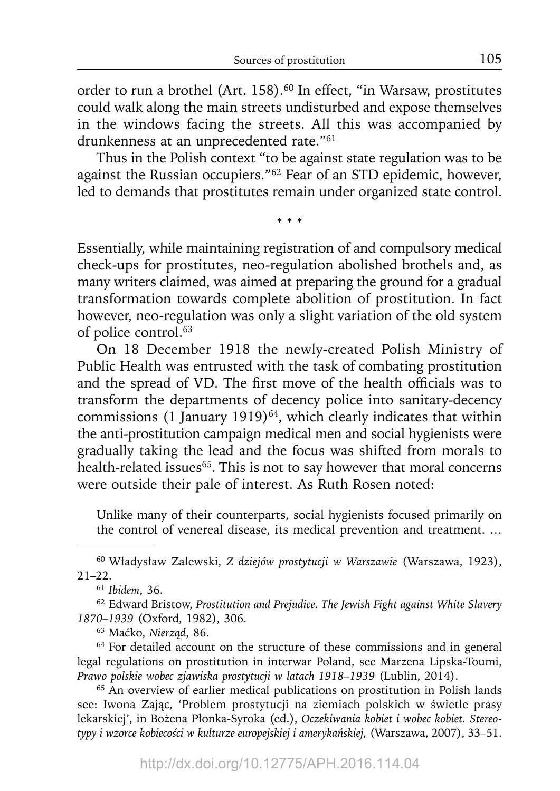order to run a brothel (Art. 158).<sup>60</sup> In effect, "in Warsaw, prostitutes could walk along the main streets undisturbed and expose themselves in the windows facing the streets. All this was accompanied by drunkenness at an unprecedented rate."<sup>61</sup>

Thus in the Polish context "to be against state regulation was to be against the Russian occupiers."62 Fear of an STD epidemic, however, led to demands that prostitutes remain under organized state control.

\* \* \*

Essentially, while maintaining registration of and compulsory medical check-ups for prostitutes, neo-regulation abolished brothels and, as many writers claimed, was aimed at preparing the ground for a gradual transformation towards complete abolition of prostitution. In fact however, neo-regulation was only a slight variation of the old system of police control.<sup>63</sup>

On 18 December 1918 the newly-created Polish Ministry of Public Health was entrusted with the task of combating prostitution and the spread of VD. The first move of the health officials was to transform the departments of decency police into sanitary-decency commissions (1 January 1919)<sup>64</sup>, which clearly indicates that within the anti-prostitution campaign medical men and social hygienists were gradually taking the lead and the focus was shifted from morals to health-related issues<sup>65</sup>. This is not to say however that moral concerns were outside their pale of interest. As Ruth Rosen noted:

Unlike many of their counterparts, social hygienists focused primarily on the control of venereal disease, its medical prevention and treatment. …

63 Maćko, *Nierząd*, 86.

<sup>64</sup> For detailed account on the structure of these commissions and in general legal regulations on prostitution in interwar Poland, see Marzena Lipska-Toumi, *Prawo polskie wobec zjawiska prostytucji w latach 1918–1939* (Lublin, 2014).

<sup>65</sup> An overview of earlier medical publications on prostitution in Polish lands see: Iwona Zając, 'Problem prostytucji na ziemiach polskich w świetle prasy lekarskiej', in Bożena Płonka-Syroka (ed.), *Oczekiwania kobiet i wobec kobiet. Stereotypy i wzorce kobiecości w kulturze europejskiej i amerykańskiej,* (Warszawa, 2007), 33–51.

<sup>60</sup> Władysław Zalewski, *Z dziejów prostytucji w Warszawie* (Warszawa, 1923), 21–22.

<sup>61</sup>*Ibidem*, 36.

<sup>62</sup> Edward Bristow, *Prostitution and Prejudice. The Jewish Fight against White Slavery 1870–1939* (Oxford, 1982), 306.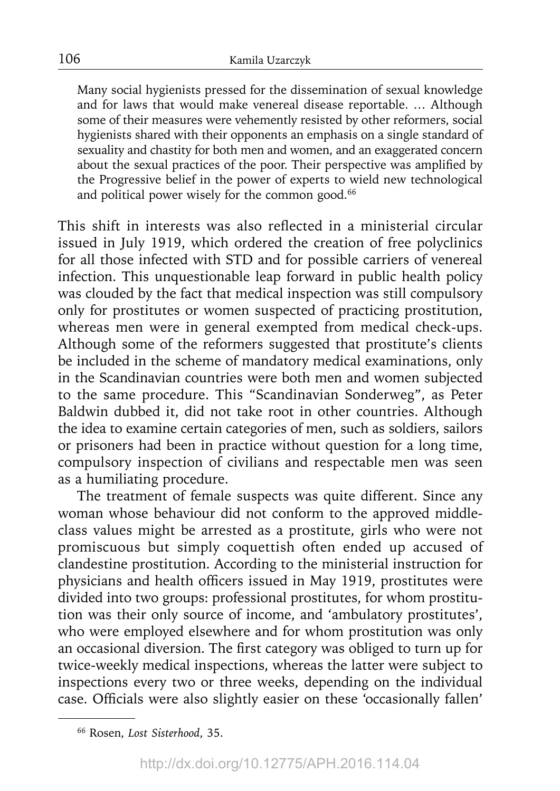Many social hygienists pressed for the dissemination of sexual knowledge and for laws that would make venereal disease reportable. … Although some of their measures were vehemently resisted by other reformers, social hygienists shared with their opponents an emphasis on a single standard of sexuality and chastity for both men and women, and an exaggerated concern about the sexual practices of the poor. Their perspective was amplified by the Progressive belief in the power of experts to wield new technological and political power wisely for the common good.<sup>66</sup>

This shift in interests was also reflected in a ministerial circular issued in July 1919, which ordered the creation of free polyclinics for all those infected with STD and for possible carriers of venereal infection. This unquestionable leap forward in public health policy was clouded by the fact that medical inspection was still compulsory only for prostitutes or women suspected of practicing prostitution, whereas men were in general exempted from medical check-ups. Although some of the reformers suggested that prostitute's clients be included in the scheme of mandatory medical examinations, only in the Scandinavian countries were both men and women subjected to the same procedure. This "Scandinavian Sonderweg", as Peter Baldwin dubbed it, did not take root in other countries. Although the idea to examine certain categories of men, such as soldiers, sailors or prisoners had been in practice without question for a long time, compulsory inspection of civilians and respectable men was seen as a humiliating procedure.

The treatment of female suspects was quite different. Since any woman whose behaviour did not conform to the approved middleclass values might be arrested as a prostitute, girls who were not promiscuous but simply coquettish often ended up accused of clandestine prostitution. According to the ministerial instruction for physicians and health officers issued in May 1919, prostitutes were divided into two groups: professional prostitutes, for whom prostitution was their only source of income, and 'ambulatory prostitutes', who were employed elsewhere and for whom prostitution was only an occasional diversion. The first category was obliged to turn up for twice-weekly medical inspections, whereas the latter were subject to inspections every two or three weeks, depending on the individual case. Officials were also slightly easier on these 'occasionally fallen'

<sup>66</sup> Rosen, *Lost Sisterhood*, 35.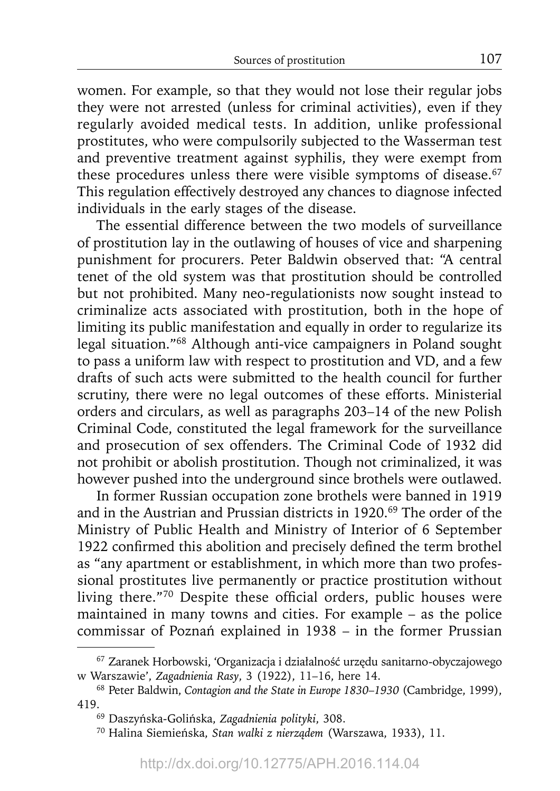women. For example, so that they would not lose their regular jobs they were not arrested (unless for criminal activities), even if they regularly avoided medical tests. In addition, unlike professional prostitutes, who were compulsorily subjected to the Wasserman test and preventive treatment against syphilis, they were exempt from these procedures unless there were visible symptoms of disease.<sup>67</sup> This regulation effectively destroyed any chances to diagnose infected individuals in the early stages of the disease.

The essential difference between the two models of surveillance of prostitution lay in the outlawing of houses of vice and sharpening punishment for procurers. Peter Baldwin observed that: "A central tenet of the old system was that prostitution should be controlled but not prohibited. Many neo-regulationists now sought instead to criminalize acts associated with prostitution, both in the hope of limiting its public manifestation and equally in order to regularize its legal situation."68 Although anti-vice campaigners in Poland sought to pass a uniform law with respect to prostitution and VD, and a few drafts of such acts were submitted to the health council for further scrutiny, there were no legal outcomes of these efforts. Ministerial orders and circulars, as well as paragraphs 203–14 of the new Polish Criminal Code, constituted the legal framework for the surveillance and prosecution of sex offenders. The Criminal Code of 1932 did not prohibit or abolish prostitution. Though not criminalized, it was however pushed into the underground since brothels were outlawed.

In former Russian occupation zone brothels were banned in 1919 and in the Austrian and Prussian districts in 1920.<sup>69</sup> The order of the Ministry of Public Health and Ministry of Interior of 6 September 1922 confirmed this abolition and precisely defined the term brothel as "any apartment or establishment, in which more than two professional prostitutes live permanently or practice prostitution without living there."70 Despite these official orders, public houses were maintained in many towns and cities. For example – as the police commissar of Poznań explained in 1938 – in the former Prussian

<sup>67</sup> Zaranek Horbowski, 'Organizacja i działalność urzędu sanitarno-obyczajowego w Warszawie', *Zagadnienia Rasy*, 3 (1922), 11–16, here 14.

<sup>68</sup> Peter Baldwin, *Contagion and the State in Europe 1830*–*1930* (Cambridge, 1999), 419.69 Daszyńska-Golińska, *Zagadnienia polityki*, 308.

<sup>70</sup> Halina Siemieńska, *Stan walki z nierządem* (Warszawa, 1933), 11.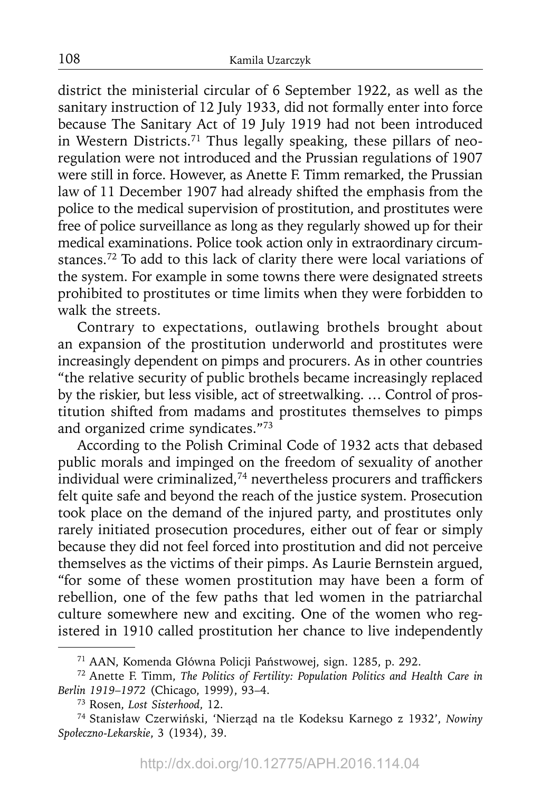district the ministerial circular of 6 September 1922, as well as the sanitary instruction of 12 July 1933, did not formally enter into force because The Sanitary Act of 19 July 1919 had not been introduced in Western Districts.<sup>71</sup> Thus legally speaking, these pillars of neoregulation were not introduced and the Prussian regulations of 1907 were still in force. However, as Anette F. Timm remarked, the Prussian law of 11 December 1907 had already shifted the emphasis from the police to the medical supervision of prostitution, and prostitutes were free of police surveillance as long as they regularly showed up for their medical examinations. Police took action only in extraordinary circumstances.72 To add to this lack of clarity there were local variations of the system. For example in some towns there were designated streets prohibited to prostitutes or time limits when they were forbidden to walk the streets.

Contrary to expectations, outlawing brothels brought about an expansion of the prostitution underworld and prostitutes were increasingly dependent on pimps and procurers. As in other countries "the relative security of public brothels became increasingly replaced by the riskier, but less visible, act of streetwalking. … Control of prostitution shifted from madams and prostitutes themselves to pimps and organized crime syndicates."73

According to the Polish Criminal Code of 1932 acts that debased public morals and impinged on the freedom of sexuality of another individual were criminalized, $74$  nevertheless procurers and traffickers felt quite safe and beyond the reach of the justice system. Prosecution took place on the demand of the injured party, and prostitutes only rarely initiated prosecution procedures, either out of fear or simply because they did not feel forced into prostitution and did not perceive themselves as the victims of their pimps. As Laurie Bernstein argued, "for some of these women prostitution may have been a form of rebellion, one of the few paths that led women in the patriarchal culture somewhere new and exciting. One of the women who registered in 1910 called prostitution her chance to live independently

<sup>71</sup> AAN, Komenda Główna Policji Państwowej, sign. 1285, p. 292.

<sup>72</sup> Anette F. Timm, *The Politics of Fertility: Population Politics and Health Care in Berlin 1919*–*1972* (Chicago, 1999), 93–4. 73 Rosen, *Lost Sisterhood*, 12.

<sup>74</sup> Stanisław Czerwiński, 'Nierząd na tle Kodeksu Karnego z 1932', *Nowiny Społeczno-Lekarskie*, 3 (1934), 39.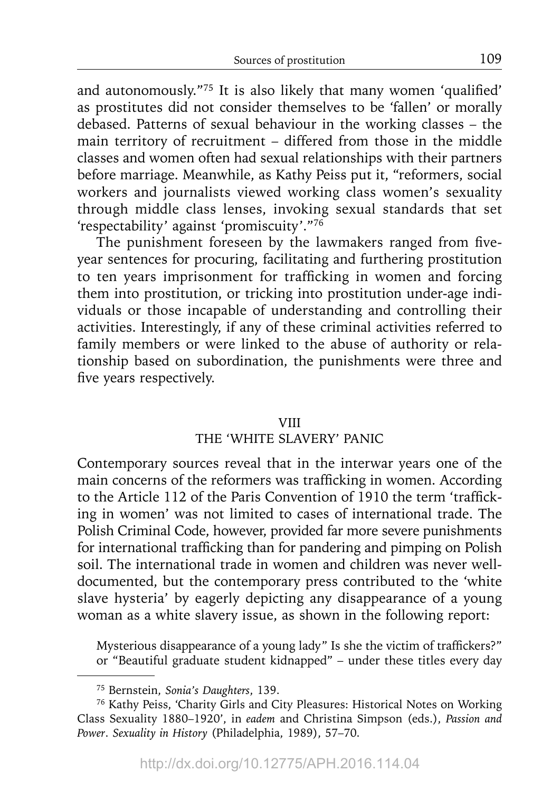and autonomously."<sup>75</sup> It is also likely that many women 'qualified' as prostitutes did not consider themselves to be 'fallen' or morally debased. Patterns of sexual behaviour in the working classes – the main territory of recruitment – differed from those in the middle classes and women often had sexual relationships with their partners before marriage. Meanwhile, as Kathy Peiss put it, "reformers, social workers and journalists viewed working class women's sexuality through middle class lenses, invoking sexual standards that set 'respectability' against 'promiscuity'."76

The punishment foreseen by the lawmakers ranged from fiveyear sentences for procuring, facilitating and furthering prostitution to ten years imprisonment for trafficking in women and forcing them into prostitution, or tricking into prostitution under-age individuals or those incapable of understanding and controlling their activities. Interestingly, if any of these criminal activities referred to family members or were linked to the abuse of authority or relationship based on subordination, the punishments were three and five years respectively.

#### VIII

# THE 'WHITE SLAVERY' PANIC

Contemporary sources reveal that in the interwar years one of the main concerns of the reformers was trafficking in women. According to the Article 112 of the Paris Convention of 1910 the term 'trafficking in women' was not limited to cases of international trade. The Polish Criminal Code, however, provided far more severe punishments for international trafficking than for pandering and pimping on Polish soil. The international trade in women and children was never welldocumented, but the contemporary press contributed to the 'white slave hysteria' by eagerly depicting any disappearance of a young woman as a white slavery issue, as shown in the following report:

Mysterious disappearance of a young lady" Is she the victim of traffickers?" or "Beautiful graduate student kidnapped" – under these titles every day

<sup>75</sup> Bernstein, *Sonia's Daughters*, 139.

<sup>76</sup> Kathy Peiss, 'Charity Girls and City Pleasures: Historical Notes on Working Class Sexuality 1880–1920', in *eadem* and Christina Simpson (eds.), *Passion and Power*. *Sexuality in History* (Philadelphia, 1989), 57–70.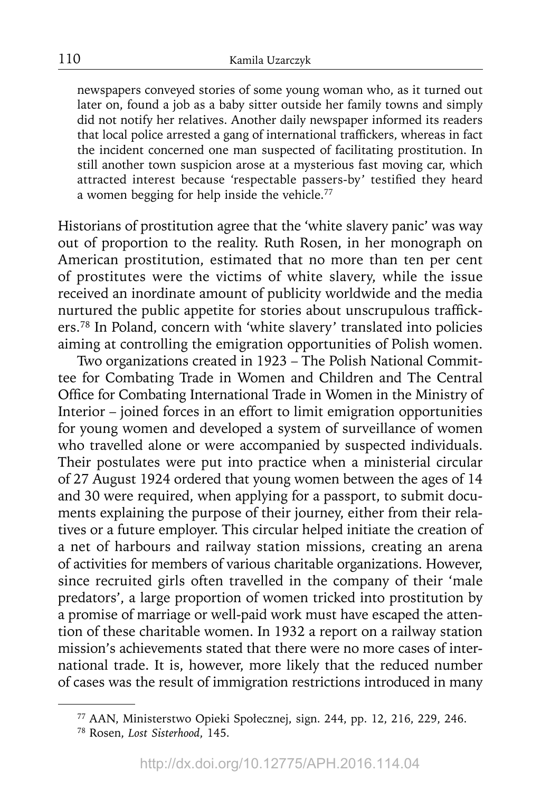newspapers conveyed stories of some young woman who, as it turned out later on, found a job as a baby sitter outside her family towns and simply did not notify her relatives. Another daily newspaper informed its readers that local police arrested a gang of international traffickers, whereas in fact the incident concerned one man suspected of facilitating prostitution. In still another town suspicion arose at a mysterious fast moving car, which attracted interest because 'respectable passers-by' testified they heard a women begging for help inside the vehicle.77

Historians of prostitution agree that the 'white slavery panic' was way out of proportion to the reality. Ruth Rosen, in her monograph on American prostitution, estimated that no more than ten per cent of prostitutes were the victims of white slavery, while the issue received an inordinate amount of publicity worldwide and the media nurtured the public appetite for stories about unscrupulous traffickers.78 In Poland, concern with 'white slavery' translated into policies aiming at controlling the emigration opportunities of Polish women.

Two organizations created in 1923 – The Polish National Committee for Combating Trade in Women and Children and The Central Office for Combating International Trade in Women in the Ministry of Interior – joined forces in an effort to limit emigration opportunities for young women and developed a system of surveillance of women who travelled alone or were accompanied by suspected individuals. Their postulates were put into practice when a ministerial circular of 27 August 1924 ordered that young women between the ages of 14 and 30 were required, when applying for a passport, to submit documents explaining the purpose of their journey, either from their relatives or a future employer. This circular helped initiate the creation of a net of harbours and railway station missions, creating an arena of activities for members of various charitable organizations. However, since recruited girls often travelled in the company of their 'male predators', a large proportion of women tricked into prostitution by a promise of marriage or well-paid work must have escaped the attention of these charitable women. In 1932 a report on a railway station mission's achievements stated that there were no more cases of international trade. It is, however, more likely that the reduced number of cases was the result of immigration restrictions introduced in many

<sup>77</sup> AAN, Ministerstwo Opieki Społecznej, sign. 244, pp. 12, 216, 229, 246. 78 Rosen, *Lost Sisterhood*, 145.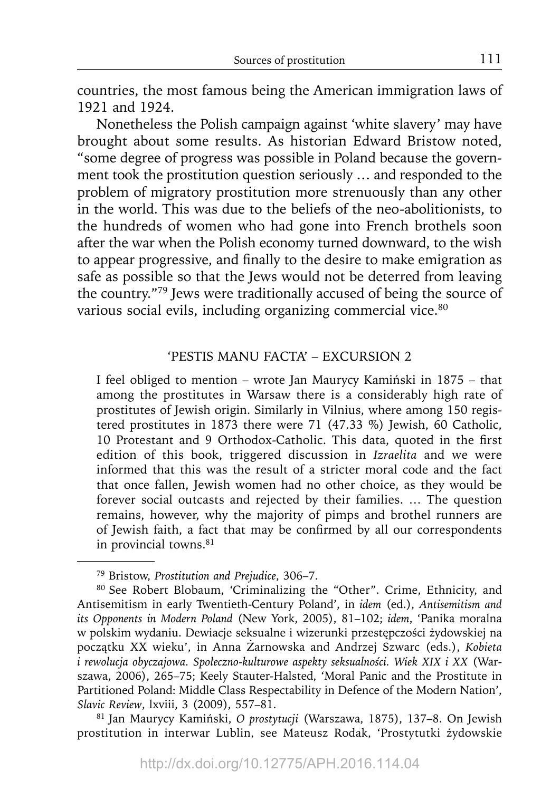countries, the most famous being the American immigration laws of 1921 and 1924.

Nonetheless the Polish campaign against 'white slavery' may have brought about some results. As historian Edward Bristow noted, "some degree of progress was possible in Poland because the government took the prostitution question seriously … and responded to the problem of migratory prostitution more strenuously than any other in the world. This was due to the beliefs of the neo-abolitionists, to the hundreds of women who had gone into French brothels soon after the war when the Polish economy turned downward, to the wish to appear progressive, and finally to the desire to make emigration as safe as possible so that the Jews would not be deterred from leaving the country."79 Jews were traditionally accused of being the source of various social evils, including organizing commercial vice.<sup>80</sup>

#### 'PESTIS MANU FACTA' – EXCURSION 2

I feel obliged to mention – wrote Jan Maurycy Kamiński in 1875 – that among the prostitutes in Warsaw there is a considerably high rate of prostitutes of Jewish origin. Similarly in Vilnius, where among 150 registered prostitutes in 1873 there were 71 (47.33 %) Jewish, 60 Catholic, 10 Protestant and 9 Orthodox-Catholic. This data, quoted in the first edition of this book, triggered discussion in *Izraelita* and we were informed that this was the result of a stricter moral code and the fact that once fallen, Jewish women had no other choice, as they would be forever social outcasts and rejected by their families. … The question remains, however, why the majority of pimps and brothel runners are of Jewish faith, a fact that may be confirmed by all our correspondents in provincial towns.<sup>81</sup>

prostitution in interwar Lublin, see Mateusz Rodak, 'Prostytutki żydowskie

<sup>79</sup> Bristow, *Prostitution and Prejudice*, 306–7.

<sup>80</sup> See Robert Blobaum, 'Criminalizing the "Other". Crime, Ethnicity, and Antisemitism in early Twentieth-Century Poland', in *idem* (ed.), *Antisemitism and its Opponents in Modern Poland* (New York, 2005), 81–102; *idem*, 'Panika moralna w polskim wydaniu. Dewiacje seksualne i wizerunki przestępczości żydowskiej na początku XX wieku', in Anna Żarnowska and Andrzej Szwarc (eds.), *Kobieta i rewolucja obyczajowa. Społeczno-kulturowe aspekty seksualności. Wiek XIX i XX* (Warszawa, 2006), 265–75; Keely Stauter-Halsted, 'Moral Panic and the Prostitute in Partitioned Poland: Middle Class Respectability in Defence of the Modern Nation', *Slavic Review*, lxviii, 3 (2009), 557–81. 81 Jan Maurycy Kamiński, *O prostytucji* (Warszawa, 1875), 137–8. On Jewish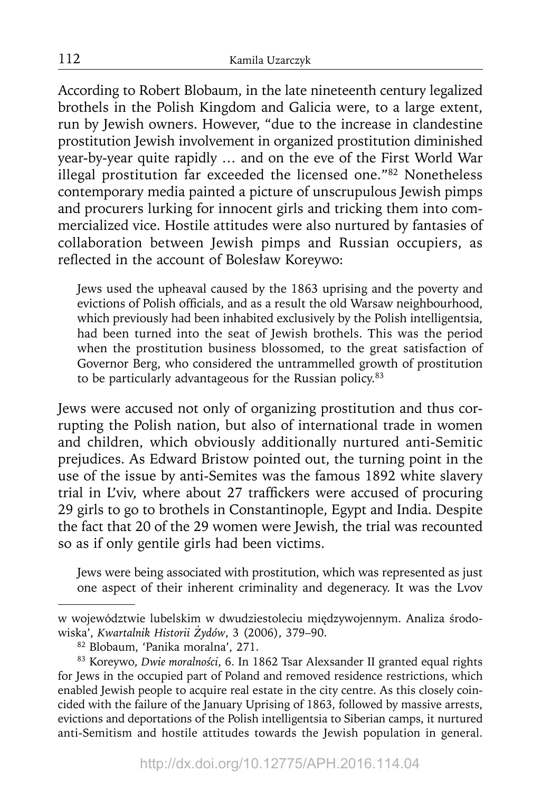According to Robert Blobaum, in the late nineteenth century legalized brothels in the Polish Kingdom and Galicia were, to a large extent, run by Jewish owners. However, "due to the increase in clandestine prostitution Jewish involvement in organized prostitution diminished year-by-year quite rapidly … and on the eve of the First World War illegal prostitution far exceeded the licensed one."82 Nonetheless contemporary media painted a picture of unscrupulous Jewish pimps and procurers lurking for innocent girls and tricking them into commercialized vice. Hostile attitudes were also nurtured by fantasies of collaboration between Jewish pimps and Russian occupiers, as reflected in the account of Bolesław Koreywo:

Jews used the upheaval caused by the 1863 uprising and the poverty and evictions of Polish officials, and as a result the old Warsaw neighbourhood, which previously had been inhabited exclusively by the Polish intelligentsia, had been turned into the seat of Jewish brothels. This was the period when the prostitution business blossomed, to the great satisfaction of Governor Berg, who considered the untrammelled growth of prostitution to be particularly advantageous for the Russian policy.<sup>83</sup>

Jews were accused not only of organizing prostitution and thus corrupting the Polish nation, but also of international trade in women and children, which obviously additionally nurtured anti-Semitic prejudices. As Edward Bristow pointed out, the turning point in the use of the issue by anti-Semites was the famous 1892 white slavery trial in L'viv, where about 27 traffickers were accused of procuring 29 girls to go to brothels in Constantinople, Egypt and India. Despite the fact that 20 of the 29 women were Jewish, the trial was recounted so as if only gentile girls had been victims.

Jews were being associated with prostitution, which was represented as just one aspect of their inherent criminality and degeneracy. It was the Lvov

w województwie lubelskim w dwudziestoleciu międzywojennym. Analiza środowiska', *Kwartalnik Historii Żydów*, 3 (2006), 379–90.

<sup>82</sup> Blobaum, 'Panika moralna', 271.<br><sup>83</sup> Koreywo, *Dwie moralności*, 6. In 1862 Tsar Alexsander II granted equal rights for Jews in the occupied part of Poland and removed residence restrictions, which enabled Jewish people to acquire real estate in the city centre. As this closely coincided with the failure of the January Uprising of 1863, followed by massive arrests, evictions and deportations of the Polish intelligentsia to Siberian camps, it nurtured anti-Semitism and hostile attitudes towards the Jewish population in general.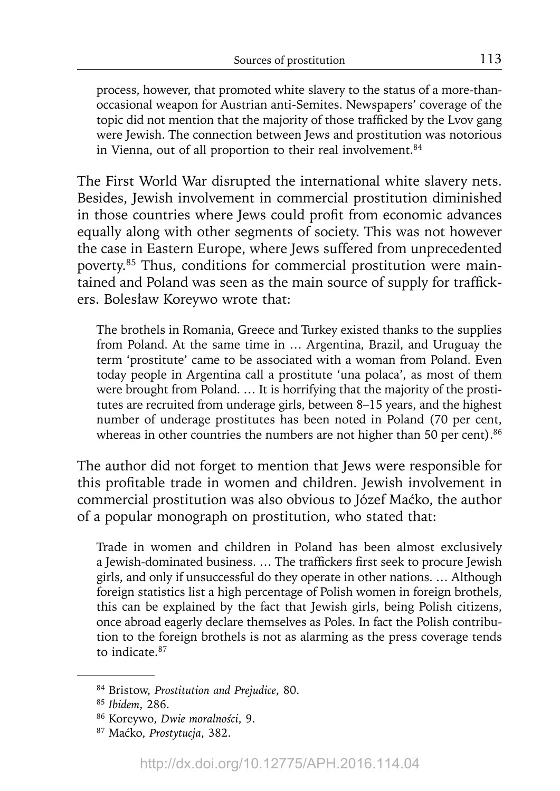process, however, that promoted white slavery to the status of a more-thanoccasional weapon for Austrian anti-Semites. Newspapers' coverage of the topic did not mention that the majority of those trafficked by the Lvov gang were Jewish. The connection between Jews and prostitution was notorious in Vienna, out of all proportion to their real involvement.<sup>84</sup>

The First World War disrupted the international white slavery nets. Besides, Jewish involvement in commercial prostitution diminished in those countries where Jews could profit from economic advances equally along with other segments of society. This was not however the case in Eastern Europe, where Jews suffered from unprecedented poverty.85 Thus, conditions for commercial prostitution were maintained and Poland was seen as the main source of supply for traffickers. Bolesław Koreywo wrote that:

The brothels in Romania, Greece and Turkey existed thanks to the supplies from Poland. At the same time in … Argentina, Brazil, and Uruguay the term 'prostitute' came to be associated with a woman from Poland. Even today people in Argentina call a prostitute 'una polaca', as most of them were brought from Poland. … It is horrifying that the majority of the prostitutes are recruited from underage girls, between 8–15 years, and the highest number of underage prostitutes has been noted in Poland (70 per cent, whereas in other countries the numbers are not higher than 50 per cent). $86$ 

The author did not forget to mention that Jews were responsible for this profitable trade in women and children. Jewish involvement in commercial prostitution was also obvious to Józef Maćko, the author of a popular monograph on prostitution, who stated that:

Trade in women and children in Poland has been almost exclusively a Jewish-dominated business. ... The traffickers first seek to procure Jewish girls, and only if unsuccessful do they operate in other nations. … Although foreign statistics list a high percentage of Polish women in foreign brothels, this can be explained by the fact that Jewish girls, being Polish citizens, once abroad eagerly declare themselves as Poles. In fact the Polish contribution to the foreign brothels is not as alarming as the press coverage tends to indicate 87

<sup>84</sup> Bristow, *Prostitution and Prejudice*, 80.

<sup>85</sup>*Ibidem*, 286.

<sup>86</sup> Koreywo, *Dwie moralności*, 9.

<sup>87</sup> Maćko, *Prostytucja*, 382.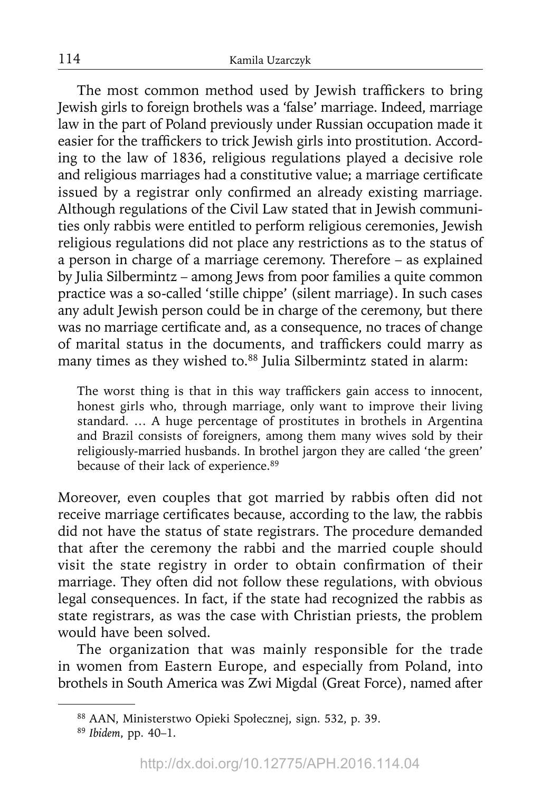The most common method used by Jewish traffickers to bring Jewish girls to foreign brothels was a 'false' marriage. Indeed, marriage law in the part of Poland previously under Russian occupation made it easier for the traffickers to trick Jewish girls into prostitution. According to the law of 1836, religious regulations played a decisive role and religious marriages had a constitutive value; a marriage certificate issued by a registrar only confirmed an already existing marriage. Although regulations of the Civil Law stated that in Jewish communities only rabbis were entitled to perform religious ceremonies, Jewish religious regulations did not place any restrictions as to the status of a person in charge of a marriage ceremony. Therefore – as explained by Julia Silbermintz – among Jews from poor families a quite common practice was a so-called 'stille chippe' (silent marriage). In such cases any adult Jewish person could be in charge of the ceremony, but there was no marriage certificate and, as a consequence, no traces of change of marital status in the documents, and traffickers could marry as many times as they wished to.<sup>88</sup> Julia Silbermintz stated in alarm:

The worst thing is that in this way traffickers gain access to innocent, honest girls who, through marriage, only want to improve their living standard. … A huge percentage of prostitutes in brothels in Argentina and Brazil consists of foreigners, among them many wives sold by their religiously-married husbands. In brothel jargon they are called 'the green' because of their lack of experience.89

Moreover, even couples that got married by rabbis often did not receive marriage certificates because, according to the law, the rabbis did not have the status of state registrars. The procedure demanded that after the ceremony the rabbi and the married couple should visit the state registry in order to obtain confirmation of their marriage. They often did not follow these regulations, with obvious legal consequences. In fact, if the state had recognized the rabbis as state registrars, as was the case with Christian priests, the problem would have been solved.

The organization that was mainly responsible for the trade in women from Eastern Europe, and especially from Poland, into brothels in South America was Zwi Migdal (Great Force), named after

<sup>88</sup> AAN, Ministerstwo Opieki Społecznej, sign. 532, p. 39.

<sup>89</sup>*Ibidem*, pp. 40–1.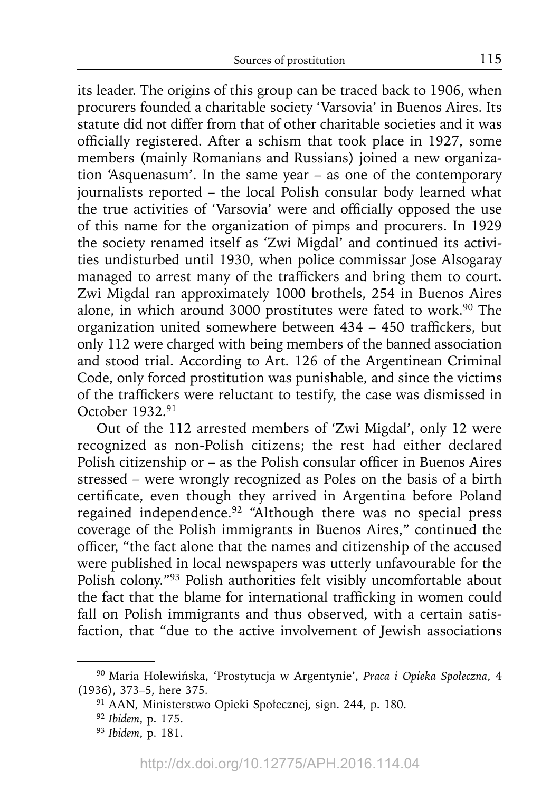its leader. The origins of this group can be traced back to 1906, when procurers founded a charitable society 'Varsovia' in Buenos Aires. Its statute did not differ from that of other charitable societies and it was officially registered. After a schism that took place in 1927, some members (mainly Romanians and Russians) joined a new organization 'Asquenasum'. In the same year – as one of the contemporary journalists reported – the local Polish consular body learned what the true activities of 'Varsovia' were and officially opposed the use of this name for the organization of pimps and procurers. In 1929 the society renamed itself as 'Zwi Migdal' and continued its activities undisturbed until 1930, when police commissar Jose Alsogaray managed to arrest many of the traffickers and bring them to court. Zwi Migdal ran approximately 1000 brothels, 254 in Buenos Aires alone, in which around 3000 prostitutes were fated to work.<sup>90</sup> The organization united somewhere between  $434 - 450$  traffickers, but only 112 were charged with being members of the banned association and stood trial. According to Art. 126 of the Argentinean Criminal Code, only forced prostitution was punishable, and since the victims of the traffickers were reluctant to testify, the case was dismissed in October 1932.91

Out of the 112 arrested members of 'Zwi Migdal', only 12 were recognized as non-Polish citizens; the rest had either declared Polish citizenship or  $-$  as the Polish consular officer in Buenos Aires stressed – were wrongly recognized as Poles on the basis of a birth certificate, even though they arrived in Argentina before Poland regained independence.92 "Although there was no special press coverage of the Polish immigrants in Buenos Aires," continued the officer, "the fact alone that the names and citizenship of the accused were published in local newspapers was utterly unfavourable for the Polish colony."93 Polish authorities felt visibly uncomfortable about the fact that the blame for international trafficking in women could fall on Polish immigrants and thus observed, with a certain satisfaction, that "due to the active involvement of Jewish associations

<sup>90</sup> Maria Holewińska, 'Prostytucja w Argentynie', *Praca i Opieka Społeczna*, 4 (1936), 373–5, here 375.

<sup>91</sup> AAN, Ministerstwo Opieki Społecznej, sign. 244, p. 180. 92 *Ibidem*, p. 175.

<sup>93</sup>*Ibidem*, p. 181.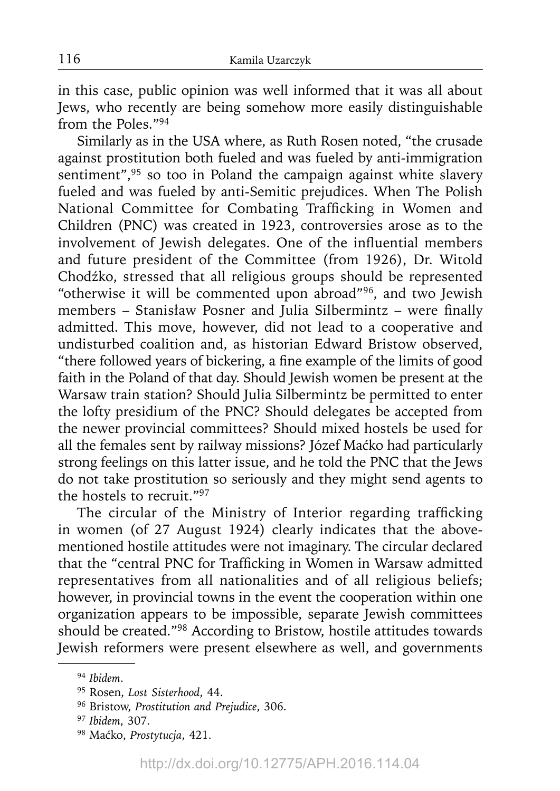in this case, public opinion was well informed that it was all about Jews, who recently are being somehow more easily distinguishable from the Poles."94

Similarly as in the USA where, as Ruth Rosen noted, "the crusade against prostitution both fueled and was fueled by anti-immigration sentiment",<sup>95</sup> so too in Poland the campaign against white slavery fueled and was fueled by anti-Semitic prejudices. When The Polish National Committee for Combating Trafficking in Women and Children (PNC) was created in 1923, controversies arose as to the involvement of Jewish delegates. One of the influential members and future president of the Committee (from 1926), Dr. Witold Chodźko, stressed that all religious groups should be represented "otherwise it will be commented upon abroad"96, and two Jewish members - Stanisław Posner and Julia Silbermintz - were finally admitted. This move, however, did not lead to a cooperative and undisturbed coalition and, as historian Edward Bristow observed, "there followed years of bickering, a fine example of the limits of good faith in the Poland of that day. Should Jewish women be present at the Warsaw train station? Should Julia Silbermintz be permitted to enter the lofty presidium of the PNC? Should delegates be accepted from the newer provincial committees? Should mixed hostels be used for all the females sent by railway missions? Józef Maćko had particularly strong feelings on this latter issue, and he told the PNC that the Jews do not take prostitution so seriously and they might send agents to the hostels to recruit."97

The circular of the Ministry of Interior regarding trafficking in women (of 27 August 1924) clearly indicates that the abovementioned hostile attitudes were not imaginary. The circular declared that the "central PNC for Trafficking in Women in Warsaw admitted representatives from all nationalities and of all religious beliefs; however, in provincial towns in the event the cooperation within one organization appears to be impossible, separate Jewish committees should be created."98 According to Bristow, hostile attitudes towards Jewish reformers were present elsewhere as well, and governments

<sup>94</sup>*Ibidem*.

<sup>95</sup> Rosen, *Lost Sisterhood*, 44.

<sup>96</sup> Bristow, *Prostitution and Prejudice*, 306.

<sup>97</sup>*Ibidem*, 307.

<sup>98</sup> Maćko, *Prostytucja*, 421.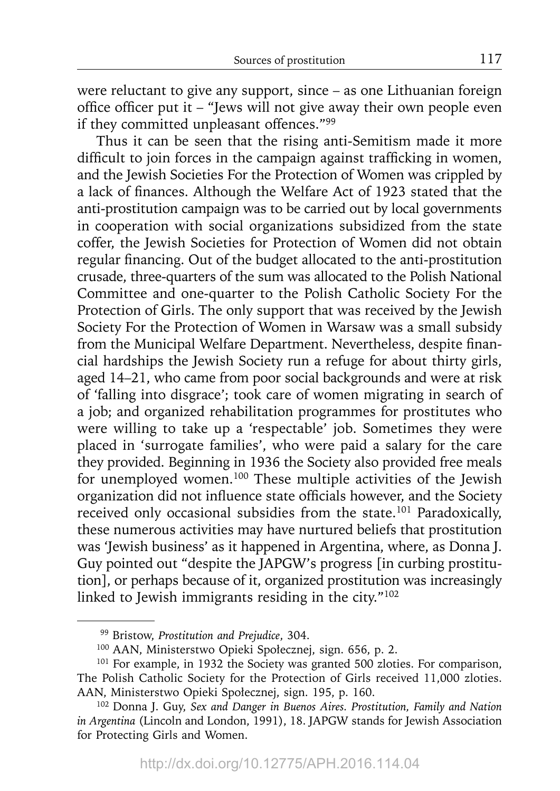were reluctant to give any support, since – as one Lithuanian foreign office officer put it – "Jews will not give away their own people even if they committed unpleasant offences."99

Thus it can be seen that the rising anti-Semitism made it more difficult to join forces in the campaign against trafficking in women, and the Jewish Societies For the Protection of Women was crippled by a lack of finances. Although the Welfare Act of 1923 stated that the anti-prostitution campaign was to be carried out by local governments in cooperation with social organizations subsidized from the state coffer, the Jewish Societies for Protection of Women did not obtain regular financing. Out of the budget allocated to the anti-prostitution crusade, three-quarters of the sum was allocated to the Polish National Committee and one-quarter to the Polish Catholic Society For the Protection of Girls. The only support that was received by the Jewish Society For the Protection of Women in Warsaw was a small subsidy from the Municipal Welfare Department. Nevertheless, despite financial hardships the Jewish Society run a refuge for about thirty girls, aged 14–21, who came from poor social backgrounds and were at risk of 'falling into disgrace'; took care of women migrating in search of a job; and organized rehabilitation programmes for prostitutes who were willing to take up a 'respectable' job. Sometimes they were placed in 'surrogate families', who were paid a salary for the care they provided. Beginning in 1936 the Society also provided free meals for unemployed women.100 These multiple activities of the Jewish organization did not influence state officials however, and the Society received only occasional subsidies from the state.<sup>101</sup> Paradoxically, these numerous activities may have nurtured beliefs that prostitution was 'Jewish business' as it happened in Argentina, where, as Donna J. Guy pointed out "despite the JAPGW's progress [in curbing prostitution], or perhaps because of it, organized prostitution was increasingly linked to Jewish immigrants residing in the city."102

<sup>99</sup> Bristow, *Prostitution and Prejudice*, 304.

<sup>100</sup> AAN, Ministerstwo Opieki Społecznej, sign. 656, p. 2.

<sup>&</sup>lt;sup>101</sup> For example, in 1932 the Society was granted 500 zloties. For comparison, The Polish Catholic Society for the Protection of Girls received 11,000 zloties. AAN, Ministerstwo Opieki Społecznej, sign. 195, p. 160.

<sup>102</sup> Donna J. Guy, *Sex and Danger in Buenos Aires. Prostitution, Family and Nation in Argentina* (Lincoln and London, 1991), 18. JAPGW stands for Jewish Association for Protecting Girls and Women.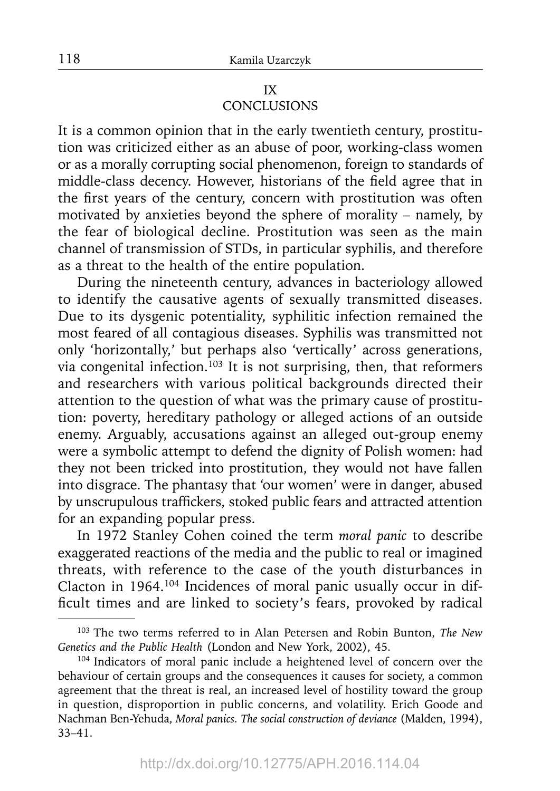# IX **CONCLUSIONS**

It is a common opinion that in the early twentieth century, prostitution was criticized either as an abuse of poor, working-class women or as a morally corrupting social phenomenon, foreign to standards of middle-class decency. However, historians of the field agree that in the first years of the century, concern with prostitution was often motivated by anxieties beyond the sphere of morality – namely, by the fear of biological decline. Prostitution was seen as the main channel of transmission of STDs, in particular syphilis, and therefore as a threat to the health of the entire population.

During the nineteenth century, advances in bacteriology allowed to identify the causative agents of sexually transmitted diseases. Due to its dysgenic potentiality, syphilitic infection remained the most feared of all contagious diseases. Syphilis was transmitted not only 'horizontally,' but perhaps also 'vertically' across generations, via congenital infection.<sup>103</sup> It is not surprising, then, that reformers and researchers with various political backgrounds directed their attention to the question of what was the primary cause of prostitution: poverty, hereditary pathology or alleged actions of an outside enemy. Arguably, accusations against an alleged out-group enemy were a symbolic attempt to defend the dignity of Polish women: had they not been tricked into prostitution, they would not have fallen into disgrace. The phantasy that 'our women' were in danger, abused by unscrupulous traffickers, stoked public fears and attracted attention for an expanding popular press.

In 1972 Stanley Cohen coined the term *moral panic* to describe exaggerated reactions of the media and the public to real or imagined threats, with reference to the case of the youth disturbances in Clacton in 1964.104 Incidences of moral panic usually occur in difficult times and are linked to society's fears, provoked by radical

<sup>103</sup> The two terms referred to in Alan Petersen and Robin Bunton, *The New Genetics and the Public Health* (London and New York, 2002), 45.

<sup>&</sup>lt;sup>104</sup> Indicators of moral panic include a heightened level of concern over the behaviour of certain groups and the consequences it causes for society, a common agreement that the threat is real, an increased level of hostility toward the group in question, disproportion in public concerns, and volatility. Erich Goode and Nachman Ben-Yehuda, *Moral panics. The social construction of deviance* (Malden, 1994), 33–41.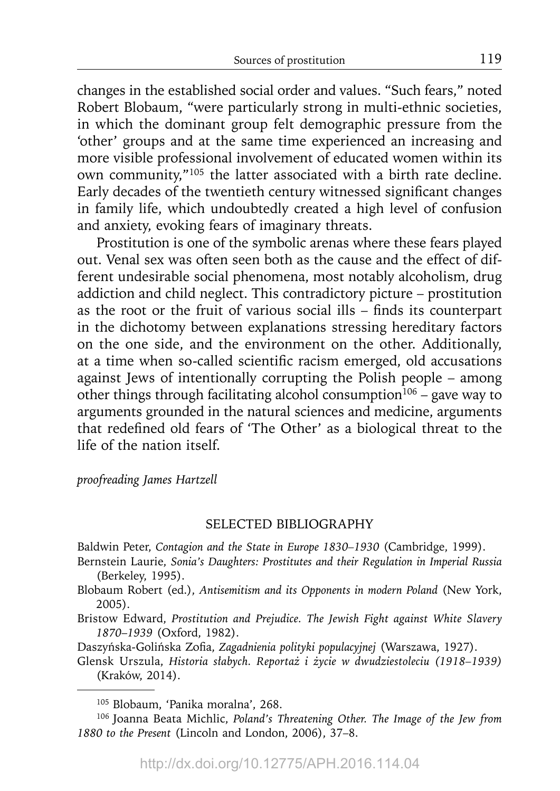changes in the established social order and values. "Such fears," noted Robert Blobaum, "were particularly strong in multi-ethnic societies, in which the dominant group felt demographic pressure from the 'other' groups and at the same time experienced an increasing and more visible professional involvement of educated women within its own community,"105 the latter associated with a birth rate decline. Early decades of the twentieth century witnessed significant changes in family life, which undoubtedly created a high level of confusion and anxiety, evoking fears of imaginary threats.

Prostitution is one of the symbolic arenas where these fears played out. Venal sex was often seen both as the cause and the effect of different undesirable social phenomena, most notably alcoholism, drug addiction and child neglect. This contradictory picture – prostitution as the root or the fruit of various social ills  $-$  finds its counterpart in the dichotomy between explanations stressing hereditary factors on the one side, and the environment on the other. Additionally, at a time when so-called scientific racism emerged, old accusations against Jews of intentionally corrupting the Polish people – among other things through facilitating alcohol consumption<sup>106</sup> – gave way to arguments grounded in the natural sciences and medicine, arguments that redefined old fears of 'The Other' as a biological threat to the life of the nation itself.

*proofreading James Hartzell*

# SELECTED BIBLIOGRAPHY

Baldwin Peter, *Contagion and the State in Europe 1830–1930* (Cambridge, 1999).

- Bernstein Laurie, *Sonia's Daughters: Prostitutes and their Regulation in Imperial Russia* (Berkeley, 1995).
- Blobaum Robert (ed.), *Antisemitism and its Opponents in modern Poland* (New York, 2005).
- Bristow Edward, *Prostitution and Prejudice. The Jewish Fight against White Slavery 1870*–*1939* (Oxford, 1982).

Daszyńska-Golińska Zofia, Zagadnienia polityki populacyjnej (Warszawa, 1927).

Glensk Urszula, *Historia słabych. Reportaż i życie w dwudziestoleciu (1918–1939)* (Kraków, 2014).

<sup>105</sup> Blobaum, 'Panika moralna', 268.

<sup>106</sup> Joanna Beata Michlic, *Poland's Threatening Other. The Image of the Jew from 1880 to the Present* (Lincoln and London, 2006), 37–8.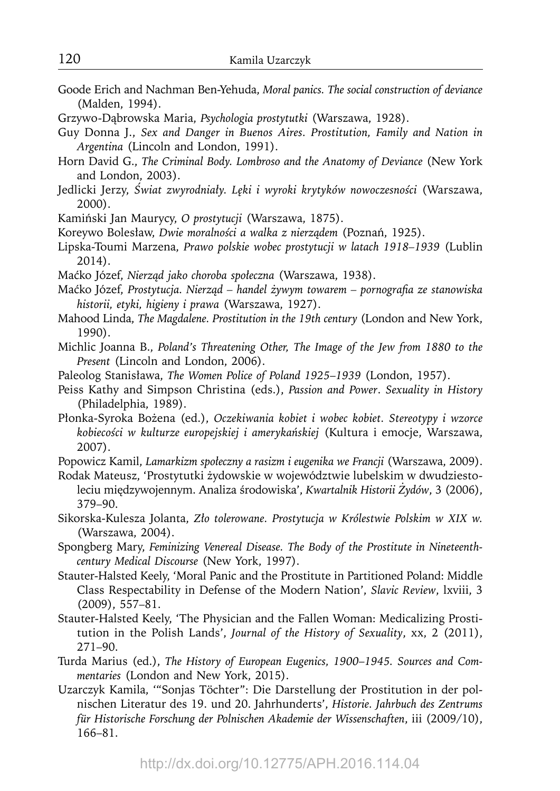- Goode Erich and Nachman Ben-Yehuda, *Moral panics. The social construction of deviance* (Malden, 1994).
- Grzywo-Dąbrowska Maria, *Psychologia prostytutki* (Warszawa, 1928).

Guy Donna J., *Sex and Danger in Buenos Aires. Prostitution, Family and Nation in Argentina* (Lincoln and London, 1991).

- Horn David G., *The Criminal Body. Lombroso and the Anatomy of Deviance* (New York and London, 2003).
- Jedlicki Jerzy, *Świat zwyrodniały. Lęki i wyroki krytyków nowoczesności* (Warszawa, 2000).
- Kamiński Jan Maurycy, *O prostytucji* (Warszawa, 1875).
- Koreywo Bolesław, *Dwie moralności a walka z nierządem* (Poznań, 1925).
- Lipska-Toumi Marzena, *Prawo polskie wobec prostytucji w latach 1918–1939* (Lublin 2014).
- Maćko Józef, *Nierząd jako choroba społeczna* (Warszawa, 1938).
- Maćko Józef, *Prostytucja. Nierząd handel żywym towarem pornografi a ze stanowiska historii, etyki, higieny i prawa* (Warszawa, 1927).
- Mahood Linda, *The Magdalene. Prostitution in the 19th century* (London and New York, 1990).
- Michlic Joanna B., *Poland's Threatening Other, The Image of the Jew from 1880 to the Present* (Lincoln and London, 2006).
- Paleolog Stanisława, *The Women Police of Poland 1925*–*1939* (London, 1957).
- Peiss Kathy and Simpson Christina (eds.), *Passion and Power*. *Sexuality in History*  (Philadelphia, 1989).
- Płonka-Syroka Bożena (ed.), *Oczekiwania kobiet i wobec kobiet. Stereotypy i wzorce kobiecości w kulturze europejskiej i amerykańskiej* (Kultura i emocje, Warszawa, 2007).

Popowicz Kamil, *Lamarkizm społeczny a rasizm i eugenika we Francji* (Warszawa, 2009).

- Rodak Mateusz, 'Prostytutki żydowskie w województwie lubelskim w dwudziestoleciu międzywojennym. Analiza środowiska', *Kwartalnik Historii Żydów*, 3 (2006), 379–90.
- Sikorska-Kulesza Jolanta, *Zło tolerowane. Prostytucja w Królestwie Polskim w XIX w.* (Warszawa, 2004).
- Spongberg Mary, *Feminizing Venereal Disease. The Body of the Prostitute in Nineteenthcentury Medical Discourse* (New York, 1997).
- Stauter-Halsted Keely, 'Moral Panic and the Prostitute in Partitioned Poland: Middle Class Respectability in Defense of the Modern Nation', *Slavic Review*, lxviii, 3 (2009), 557–81.
- Stauter-Halsted Keely, 'The Physician and the Fallen Woman: Medicalizing Prostitution in the Polish Lands', *Journal of the History of Sexuality*, xx, 2 (2011), 271–90.
- Turda Marius (ed.), *The History of European Eugenics, 1900*–*1945. Sources and Commentaries* (London and New York, 2015).
- Uzarczyk Kamila, '"Sonjas Töchter": Die Darstellung der Prostitution in der polnischen Literatur des 19. und 20. Jahrhunderts', *Historie. Jahrbuch des Zentrums für Historische Forschung der Polnischen Akademie der Wissenschaften*, iii (2009/10), 166–81.